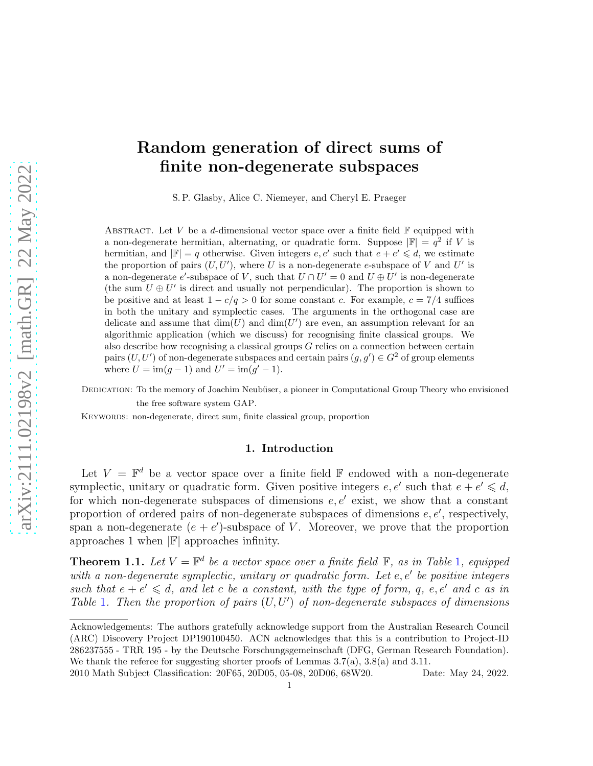# Random generation of direct sums of finite non-degenerate subspaces

S. P. Glasby, Alice C. Niemeyer, and Cheryl E. Praeger

ABSTRACT. Let V be a d-dimensional vector space over a finite field  $\mathbb F$  equipped with a non-degenerate hermitian, alternating, or quadratic form. Suppose  $\mathbb{F}$  =  $q^2$  if V is hermitian, and  $|\mathbb{F}| = q$  otherwise. Given integers  $e, e'$  such that  $e + e' \leq d$ , we estimate the proportion of pairs  $(U, U')$ , where U is a non-degenerate e-subspace of V and U' is a non-degenerate e'-subspace of V, such that  $U \cap U' = 0$  and  $U \oplus U'$  is non-degenerate (the sum  $U \oplus U'$  is direct and usually not perpendicular). The proportion is shown to be positive and at least  $1 - c/q > 0$  for some constant c. For example,  $c = 7/4$  suffices in both the unitary and symplectic cases. The arguments in the orthogonal case are delicate and assume that  $\dim(U)$  and  $\dim(U')$  are even, an assumption relevant for an algorithmic application (which we discuss) for recognising finite classical groups. We also describe how recognising a classical groups  $G$  relies on a connection between certain pairs  $(U, U')$  of non-degenerate subspaces and certain pairs  $(g, g') \in G^2$  of group elements where  $U = \text{im}(g-1)$  and  $U' = \text{im}(g'-1)$ .

DEDICATION: To the memory of Joachim Neubüser, a pioneer in Computational Group Theory who envisioned the free software system GAP.

KEYWORDS: non-degenerate, direct sum, finite classical group, proportion

# 1. Introduction

Let  $V = \mathbb{F}^d$  be a vector space over a finite field  $\mathbb{F}$  endowed with a non-degenerate symplectic, unitary or quadratic form. Given positive integers  $e, e'$  such that  $e + e' \leq d$ , for which non-degenerate subspaces of dimensions  $e, e'$  exist, we show that a constant proportion of ordered pairs of non-degenerate subspaces of dimensions  $e, e'$ , respectively, span a non-degenerate  $(e + e')$ -subspace of V. Moreover, we prove that the proportion approaches 1 when  $\mathbb{F}$  approaches infinity.

<span id="page-0-0"></span>**Theorem [1](#page-0-0).1.** Let  $V = \mathbb{F}^d$  be a vector space over a finite field  $\mathbb{F}$ , as in Table 1, equipped *with a non-degenerate symplectic, unitary or quadratic form. Let* e, e′ *be positive integers such that*  $e + e' \leq d$ , and let c be a constant, with the type of form, q, e, e' and c as in *Table* [1](#page-0-0)*. Then the proportion of pairs* (U, U′ ) *of non-degenerate subspaces of dimensions*

2010 Math Subject Classification: 20F65, 20D05, 05-08, 20D06, 68W20. Date: May 24, 2022.

Acknowledgements: The authors gratefully acknowledge support from the Australian Research Council (ARC) Discovery Project DP190100450. ACN acknowledges that this is a contribution to Project-ID 286237555 - TRR 195 - by the Deutsche Forschungsgemeinschaft (DFG, German Research Foundation). We thank the referee for suggesting shorter proofs of Lemmas  $3.7(a)$ ,  $3.8(a)$  and  $3.11$ .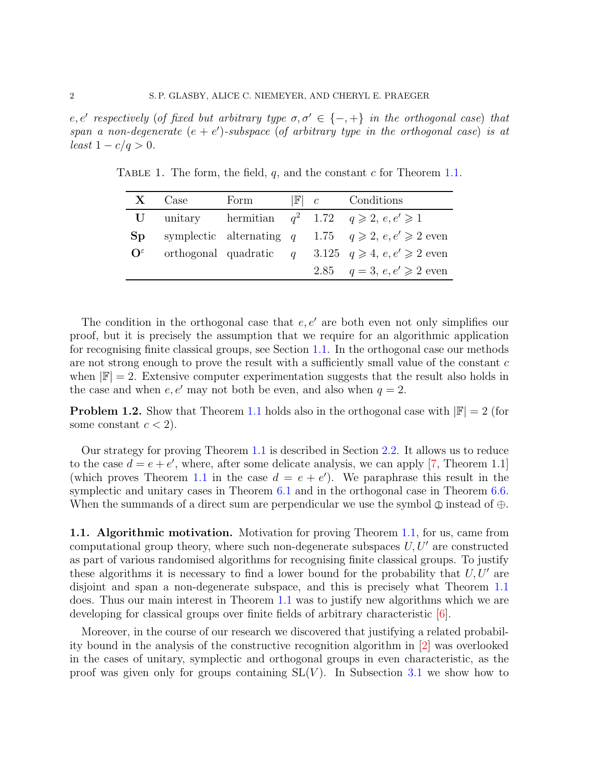$e, e'$  respectively (of fixed but arbitrary type  $\sigma, \sigma' \in \{-, +\}$  in the orthogonal case) that *span a non-degenerate*  $(e + e')$ -subspace (of arbitrary type in the orthogonal case) is at *least*  $1 - c/q > 0$ *.* 

|                            | $X$ Case | Form |  | $\mathbb{F}$ c Conditions                                       |
|----------------------------|----------|------|--|-----------------------------------------------------------------|
|                            |          |      |  | <b>U</b> unitary hermitian $q^2$ 1.72 $q \ge 2$ , e, e' $\ge 1$ |
| Sp <sub>2</sub>            |          |      |  | symplectic alternating q 1.75 $q \ge 2$ , e, e' $\ge 2$ even    |
| $\mathbf{O}^{\varepsilon}$ |          |      |  | orthogonal quadratic $q = 3.125$ $q \ge 4$ , $e, e' \ge 2$ even |
|                            |          |      |  | 2.85 $q = 3, e, e' \ge 2$ even                                  |

TABLE 1. The form, the field,  $q$ , and the constant  $c$  for Theorem [1.1.](#page-0-0)

The condition in the orthogonal case that  $e, e'$  are both even not only simplifies our proof, but it is precisely the assumption that we require for an algorithmic application for recognising finite classical groups, see Section [1.1.](#page-1-0) In the orthogonal case our methods are not strong enough to prove the result with a sufficiently small value of the constant  $c$ when  $|\mathbb{F}| = 2$ . Extensive computer experimentation suggests that the result also holds in the case and when  $e, e'$  may not both be even, and also when  $q = 2$ .

**Problem [1](#page-0-0).2.** Show that Theorem 1.1 holds also in the orthogonal case with  $\mathbb{F}$  = 2 (for some constant  $c < 2$ ).

Our strategy for proving Theorem [1.1](#page-0-0) is described in Section [2.2.](#page-3-0) It allows us to reduce to the case  $d = e + e'$ , where, after some delicate analysis, we can apply [\[7,](#page-22-0) Theorem 1.1] (which proves Theorem [1.1](#page-0-0) in the case  $d = e + e'$ ). We paraphrase this result in the symplectic and unitary cases in Theorem [6.1](#page-15-0) and in the orthogonal case in Theorem [6.6.](#page-18-0) When the summands of a direct sum are perpendicular we use the symbol  $\oplus$  instead of  $\oplus$ .

<span id="page-1-0"></span>1.1. Algorithmic motivation. Motivation for proving Theorem [1.1,](#page-0-0) for us, came from computational group theory, where such non-degenerate subspaces  $U, U'$  are constructed as part of various randomised algorithms for recognising finite classical groups. To justify these algorithms it is necessary to find a lower bound for the probability that  $U, U'$  are disjoint and span a non-degenerate subspace, and this is precisely what Theorem [1.1](#page-0-0) does. Thus our main interest in Theorem [1.1](#page-0-0) was to justify new algorithms which we are developing for classical groups over finite fields of arbitrary characteristic [\[6\]](#page-22-1).

Moreover, in the course of our research we discovered that justifying a related probability bound in the analysis of the constructive recognition algorithm in [\[2\]](#page-22-2) was overlooked in the cases of unitary, symplectic and orthogonal groups in even characteristic, as the proof was given only for groups containing  $SL(V)$ . In Subsection [3.1](#page-6-0) we show how to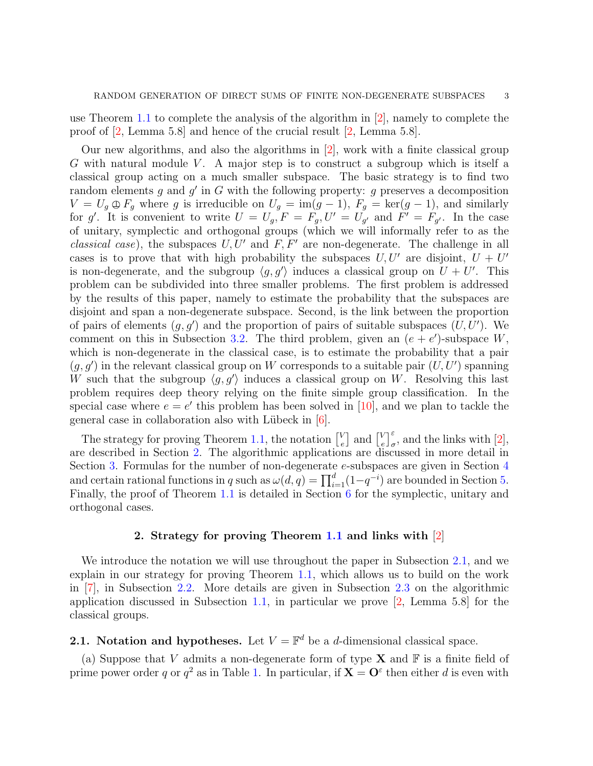use Theorem [1.1](#page-0-0) to complete the analysis of the algorithm in [\[2\]](#page-22-2), namely to complete the proof of [\[2,](#page-22-2) Lemma 5.8] and hence of the crucial result [\[2,](#page-22-2) Lemma 5.8].

Our new algorithms, and also the algorithms in [\[2\]](#page-22-2), work with a finite classical group G with natural module V. A major step is to construct a subgroup which is itself a classical group acting on a much smaller subspace. The basic strategy is to find two random elements  $g$  and  $g'$  in  $G$  with the following property:  $g$  preserves a decomposition  $V = U_g \oplus F_g$  where g is irreducible on  $U_g = \text{im}(g-1)$ ,  $F_g = \text{ker}(g-1)$ , and similarly for g'. It is convenient to write  $U = U_g$ ,  $F = F_g$ ,  $U' = U_{g'}$  and  $F' = F_{g'}$ . In the case of unitary, symplectic and orthogonal groups (which we will informally refer to as the *classical case*), the subspaces  $U, U'$  and  $F, F'$  are non-degenerate. The challenge in all cases is to prove that with high probability the subspaces  $U, U'$  are disjoint,  $U + U'$ is non-degenerate, and the subgroup  $\langle g, g' \rangle$  induces a classical group on  $U + U'$ . This problem can be subdivided into three smaller problems. The first problem is addressed by the results of this paper, namely to estimate the probability that the subspaces are disjoint and span a non-degenerate subspace. Second, is the link between the proportion of pairs of elements  $(g, g')$  and the proportion of pairs of suitable subspaces  $(U, U')$ . We comment on this in Subsection [3.2.](#page-8-0) The third problem, given an  $(e + e')$ -subspace W, which is non-degenerate in the classical case, is to estimate the probability that a pair  $(g, g')$  in the relevant classical group on W corresponds to a suitable pair  $(U, U')$  spanning W such that the subgroup  $\langle g, g' \rangle$  induces a classical group on W. Resolving this last problem requires deep theory relying on the finite simple group classification. In the special case where  $e = e'$  this problem has been solved in [\[10\]](#page-22-3), and we plan to tackle the general case in collaboration also with Lübeck in  $[6]$ .

The strategy for proving Theorem [1.1,](#page-0-0) the notation  $\binom{V}{e}$  $\left[\begin{smallmatrix} V \\ e \end{smallmatrix}\right]$  and  $\left[\begin{smallmatrix} V \\ e \end{smallmatrix}\right]$  $\int_{e}^{V} \Big|_{\sigma}^{\varepsilon}$ , and the links with [\[2\]](#page-22-2), are described in Section [2.](#page-2-0) The algorithmic applications are discussed in more detail in Section [3.](#page-6-1) Formulas for the number of non-degenerate e-subspaces are given in Section [4](#page-11-0) and certain rational functions in q such as  $\omega(d, q) = \prod_{i=1}^{d} (1 - q^{-i})$  are bounded in Section [5.](#page-12-0) Finally, the proof of Theorem [1.1](#page-0-0) is detailed in Section [6](#page-15-1) for the symplectic, unitary and orthogonal cases.

#### 2. Strategy for proving Theorem [1.1](#page-0-0) and links with [\[2\]](#page-22-2)

<span id="page-2-0"></span>We introduce the notation we will use throughout the paper in Subsection [2.1,](#page-2-1) and we explain in our strategy for proving Theorem [1.1,](#page-0-0) which allows us to build on the work in [\[7\]](#page-22-0), in Subsection [2.2.](#page-3-0) More details are given in Subsection [2.3](#page-5-0) on the algorithmic application discussed in Subsection [1.1,](#page-1-0) in particular we prove [\[2,](#page-22-2) Lemma 5.8] for the classical groups.

# <span id="page-2-1"></span>**2.1.** Notation and hypotheses. Let  $V = \mathbb{F}^d$  be a *d*-dimensional classical space.

(a) Suppose that V admits a non-degenerate form of type **X** and  $\mathbb{F}$  is a finite field of prime power order q or  $q^2$  as in Table [1.](#page-0-0) In particular, if  $X = O^{\varepsilon}$  then either d is even with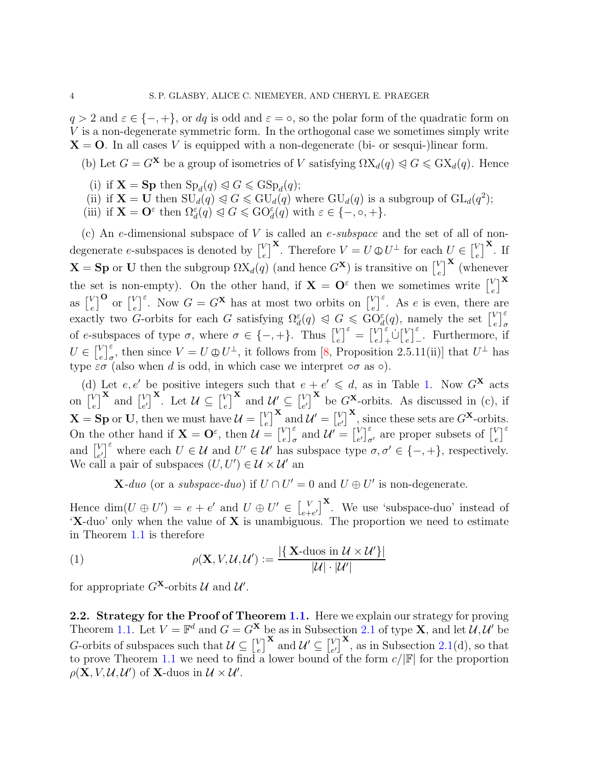$q > 2$  and  $\varepsilon \in \{-, +\}$ , or dq is odd and  $\varepsilon = \circ$ , so the polar form of the quadratic form on V is a non-degenerate symmetric form. In the orthogonal case we sometimes simply write  $X = 0$ . In all cases V is equipped with a non-degenerate (bi- or sesqui-)linear form.

(b) Let  $G = G^{\mathbf{X}}$  be a group of isometries of V satisfying  $\Omega X_d(q) \leqslant G \leqslant G X_d(q)$ . Hence

- (i) if  $\mathbf{X} = \mathbf{Sp}$  then  $\text{Sp}_d(q) \leqslant G \leqslant \text{GSp}_d(q)$ ;
- (ii) if  $\mathbf{X} = \mathbf{U}$  then  $\text{SU}_d(q) \triangleleft G \leq \text{GU}_d(q)$  where  $\text{GU}_d(q)$  is a subgroup of  $\text{GL}_d(q^2)$ ;
- (iii) if  $\mathbf{X} = \mathbf{O}^{\varepsilon}$  then  $\Omega_d^{\varepsilon}(q) \leqslant G \leqslant \mathrm{GO}_d^{\varepsilon}(q)$  with  $\varepsilon \in \{-,\circ,+\}.$

(c) An e-dimensional subspace of V is called an e*-subspace* and the set of all of nondegenerate e-subspaces is denoted by  $\begin{bmatrix} V \\ e \end{bmatrix}$  $\mathcal{L}_e^V$ <sup>**X**</sup>. Therefore  $V = U \oplus U^{\perp}$  for each  $U \in \begin{bmatrix} V \\ e \end{bmatrix}$  $_{e}^{V}\big]$ <sup>X</sup>. If  $\mathbf{X} = \mathbf{Sp}$  or U then the subgroup  $\Omega X_d(q)$  (and hence  $G^{\mathbf{X}}$ ) is transitive on  $\begin{bmatrix} V & 0 \\ 0 & 0 \end{bmatrix}$  $\left[\begin{matrix} V \\ e \end{matrix}\right]^{\mathbf{X}}$  (whenever the set is non-empty). On the other hand, if  $X = O^{\epsilon}$  then we sometimes write  $\begin{bmatrix} V \\ \epsilon \end{bmatrix}$  $\left[\begin{matrix} V \ e \end{matrix}\right]^{\mathbf{X}}$ as  $\begin{bmatrix} V \\ e \end{bmatrix}$  $\left[\begin{smallmatrix} V\\ e \end{smallmatrix}\right]^\mathbf{O}$  or  $\left[\begin{smallmatrix} V\\ e \end{smallmatrix}\right]$  $e^{V}$ <sub>e</sub><sup> $\in$ </sup>. Now  $G = G^{\mathbf{X}}$  has at most two orbits on  $\begin{bmatrix} V \\ e \end{bmatrix}$  $e^V_e$ <sup> $\in$ </sup>. As *e* is even, there are exactly two G-orbits for each G satisfying  $\Omega_d^{\varepsilon}(q) \leqslant G \leqslant \mathrm{GO}_d^{\varepsilon}(q)$ , namely the set  $\begin{bmatrix} V \\ e \end{bmatrix}$ V $\begin{bmatrix} \varepsilon \\ e \end{bmatrix}$   $\sigma$ of e-subspaces of type  $\sigma$ , where  $\sigma \in \{-, +\}$ . Thus  $\begin{bmatrix} V \\ \epsilon \end{bmatrix}$  $\begin{bmatrix} V \\ e \end{bmatrix}^{\varepsilon} = \begin{bmatrix} V \\ e \end{bmatrix}$  $\left[\begin{matrix} V \\ e \end{matrix}\right]_+^{\varepsilon}$  $\bigcup \left[\begin{matrix} V \\ e \end{matrix}\right]$  $e \bigg]_{-}^{\varepsilon}$ . Furthermore, if  $U \in \begin{bmatrix} V \\ e \end{bmatrix}$  $\mathcal{U}[\varepsilon]$ , then since  $V = U \oplus U^{\perp}$ , it follows from [\[8,](#page-22-4) Proposition 2.5.11(ii)] that  $U^{\perp}$  has type  $\varepsilon\sigma$  (also when d is odd, in which case we interpret  $\circ\sigma$  as  $\circ$ ).

(d) Let e, e' be positive integers such that  $e + e' \leq d$ , as in Table [1.](#page-0-0) Now  $G^{\mathbf{X}}$  acts on  $\begin{bmatrix} V \\ e \end{bmatrix}$  $\left[\begin{smallmatrix} V \\ e \end{smallmatrix}\right]^{\mathbf{X}}$  and  $\left[\begin{smallmatrix} V \\ e \end{smallmatrix}\right]$  $_{e'}^V$ <sup>X</sup>. Let  $\mathcal{U} \subseteq \begin{bmatrix} V \\ e \end{bmatrix}$  $[u]$ <sup>X</sup> and  $\mathcal{U}'_{\mathbf{x}} \subseteq [v]$  $\left\{ \begin{matrix} V \\ e' \end{matrix} \right\}^{\mathbf{X}}$  be  $G^{\mathbf{X}}$ -orbits. As discussed in (c), if  $\mathbf{X} = \mathbf{Sp} \text{ or } \mathbf{U}, \text{ then we must have } \mathcal{U} = \begin{bmatrix} V_{\mathcal{U}} & \mathcal{U}_{\mathcal{U}} \end{bmatrix}$  $\left[\begin{smallmatrix} V\ e \end{smallmatrix}\right]^{\mathbf{X}}$  and  $\mathcal{U}' = \left[\begin{smallmatrix} V\ e \end{smallmatrix}\right]$  $\binom{V}{e'}^{\mathbf{X}}$ , since these sets are  $G^{\mathbf{X}}$ -orbits. On the other hand if  $\mathbf{X} = \mathbf{O}^{\varepsilon}$ , then  $\mathcal{U} = \begin{bmatrix} V_{\varepsilon} \\ V_{\varepsilon} \end{bmatrix}$  $\left[\begin{smallmatrix} V \\ e \end{smallmatrix}\right]_{\sigma}^{\varepsilon}$  and  $\mathcal{U}' = \left[\begin{smallmatrix} V \\ e \end{smallmatrix}\right]$  $\int_{e'}^{V} \int_{\sigma'}^{\varepsilon}$  are proper subsets of  $\begin{bmatrix} V \\ e \end{bmatrix}$ e other hand if  $\mathbf{X} = \mathbf{O}^{\varepsilon}$ , then  $\mathcal{U} = \begin{bmatrix} V \\ e \end{bmatrix}_{\sigma}^{\varepsilon}$  and  $\mathcal{U}' = \begin{bmatrix} V \\ e' \end{bmatrix}_{\sigma'}^{\varepsilon}$  are proper subsets of  $\begin{bmatrix} V \\ e \end{bmatrix}^{\varepsilon}$ and  $\begin{bmatrix} V \\ e \end{bmatrix}$  $e^U$ <sup> $\epsilon$ </sup> where each  $U \in \mathcal{U}$  and  $U' \in \mathcal{U}'$  has subspace type  $\sigma, \sigma' \in \{-, +\}$ , respectively. We call a pair of subspaces  $(U, U') \in \mathcal{U} \times \mathcal{U}'$  and

<span id="page-3-1"></span>**X**-duo (or a *subspace-duo*) if  $U \cap U' = 0$  and  $U \oplus U'$  is non-degenerate.

Hence  $\dim(U \oplus U') = e + e'$  and  $U \oplus U' \in \begin{bmatrix} V \\ e+V \end{bmatrix}$  $\binom{V}{e+e'}$ <sup>X</sup>. We use 'subspace-duo' instead of  $\mathbf{X}\text{-}\mathrm{duo'}$  only when the value of  $\mathbf X$  is unambiguous. The proportion we need to estimate in Theorem [1.1](#page-0-0) is therefore

(1) 
$$
\rho(\mathbf{X}, V, \mathcal{U}, \mathcal{U}') := \frac{|\{\mathbf{X} \text{-duos in } \mathcal{U} \times \mathcal{U}'\}|}{|\mathcal{U}| \cdot |\mathcal{U}'|}
$$

<span id="page-3-0"></span>for appropriate  $G^{\mathbf{X}}$ -orbits  $\mathcal U$  and  $\mathcal U'$ .

2.2. Strategy for the Proof of Theorem [1.1.](#page-0-0) Here we explain our strategy for proving Theorem [1.1.](#page-0-0) Let  $V = \mathbb{F}^d$  and  $G = G^{\mathbf{X}}$  be as in Subsection [2.1](#page-2-1) of type **X**, and let  $\mathcal{U}, \mathcal{U}'$  be G-orbits of subspaces such that  $\mathcal{U} \subseteq \begin{bmatrix} V & 0 \\ 0 & 0 \end{bmatrix}$  $[u]$ <sup>X</sup> and  $\mathcal{U}' \subseteq \begin{bmatrix} V \\ e \end{bmatrix}$  $\binom{V}{e'}^{\mathbf{X}}$ , as in Subsection [2.1\(](#page-2-1)d), so that to prove Theorem [1.1](#page-0-0) we need to find a lower bound of the form  $c/|\mathbb{F}|$  for the proportion  $\rho(\mathbf{X}, V, \mathcal{U}, \mathcal{U}')$  of **X**-duos in  $\mathcal{U} \times \mathcal{U}'$ .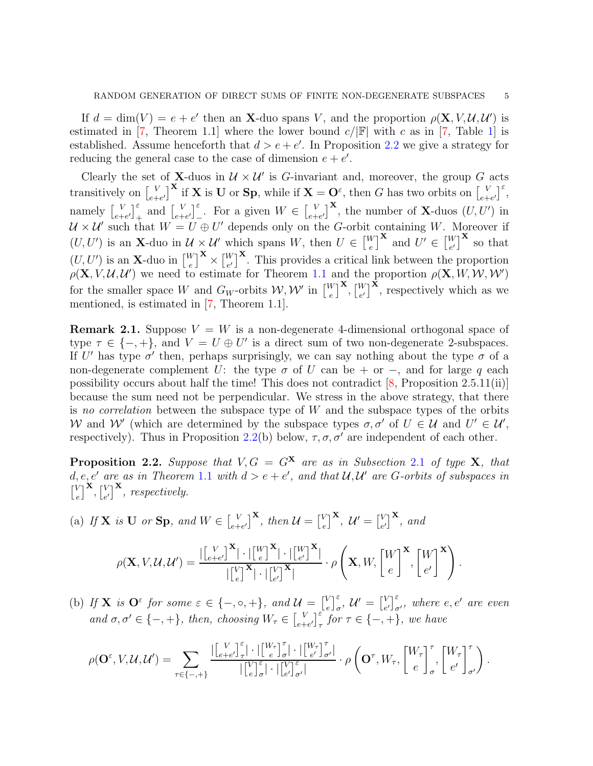If  $d = \dim(V) = e + e'$  then an **X**-duo spans V, and the proportion  $\rho(\mathbf{X}, V, \mathcal{U}, \mathcal{U}')$  is estimated in [\[7,](#page-22-0) Theorem 1.[1\]](#page-0-0) where the lower bound  $c/|\mathbb{F}|$  with c as in [7, Table 1] is established. Assume henceforth that  $d > e + e'$ . In Proposition [2.2](#page-4-0) we give a strategy for reducing the general case to the case of dimension  $e + e'$ .

Clearly the set of **X**-duos in  $\mathcal{U} \times \mathcal{U}'$  is G-invariant and, moreover, the group G acts transitively on  $\begin{bmatrix} V \\ e+ \end{bmatrix}$  $\left[\begin{array}{c} V \ e^{+}e^{t} \end{array}\right]$ <sup>X</sup> if **X** is **U** or **Sp**, while if **X** = **O**<sup> $\varepsilon$ </sup>, then *G* has two orbits on  $\left[\begin{array}{c} V \ e^{+}e^{t} \end{array}\right]$  $\begin{bmatrix} V \\ e+e' \end{bmatrix}^{\varepsilon}$ namely  $\begin{bmatrix} V \\ e+ \end{bmatrix}$  $\begin{bmatrix} V \\ e+e' \end{bmatrix}$  and  $\begin{bmatrix} V \\ e+e' \end{bmatrix}$  $\left[\begin{matrix} V \\ e+e' \end{matrix}\right]_+^{\varepsilon}$ . For a given  $W \in \left[\begin{matrix} V \\ e+e' \end{matrix}\right]$  $\binom{V}{e+e'}^{\mathbf{X}}$ , the number of **X**-duos  $(U, U')$  in  $\mathcal{U} \times \mathcal{U}'$  such that  $W = U \oplus U'$  depends only on the G-orbit containing W. Moreover if  $(U, U')$  is an **X**-duo in  $\mathcal{U} \times \mathcal{U}'$  which spans W, then  $U \in \begin{bmatrix} W \\ e \end{bmatrix}$  $\left[\begin{smallmatrix} V \\ e \end{smallmatrix}\right]^{\mathbf{X}}$  and  $U' \in \left[\begin{smallmatrix} W \\ e' \end{smallmatrix}\right]$  $_{e'}^W$ <sup>**x**</sup> so that  $(U, U')$  is an **X**-duo in  $\begin{bmatrix}W\\e\end{bmatrix}$  $\left[\begin{smallmatrix} V\ e \end{smallmatrix}\right]^{\mathbf{X}}\times \left[\begin{smallmatrix} W\ e' \end{smallmatrix}\right]$  $\binom{W}{e'}^{\mathbf{X}}$ . This provides a critical link between the proportion  $\rho(\mathbf{X}, V, \mathcal{U}, \mathcal{U}')$  we need to estimate for Theorem [1.1](#page-0-0) and the proportion  $\rho(\mathbf{X}, W, W, W')$ for the smaller space W and  $G_W$ -orbits  $\mathcal{W}, \mathcal{W}'$  in  $\begin{bmatrix} W \\ e \end{bmatrix}$  $\left[\begin{smallmatrix} W\ e \end{smallmatrix}\right]^\mathbf{X}, \left[\begin{smallmatrix} W\ e' \end{smallmatrix}\right]$  $\binom{W}{e'}^{\mathbf{X}}$ , respectively which as we mentioned, is estimated in [\[7,](#page-22-0) Theorem 1.1].

**Remark 2.1.** Suppose  $V = W$  is a non-degenerate 4-dimensional orthogonal space of type  $\tau \in \{-, +\}$ , and  $V = U \oplus U'$  is a direct sum of two non-degenerate 2-subspaces. If U' has type  $\sigma'$  then, perhaps surprisingly, we can say nothing about the type  $\sigma$  of a non-degenerate complement U: the type  $\sigma$  of U can be + or −, and for large q each possibility occurs about half the time! This does not contradict  $[8,$  Proposition 2.5.11(ii)] because the sum need not be perpendicular. We stress in the above strategy, that there is *no correlation* between the subspace type of W and the subspace types of the orbits W and W' (which are determined by the subspace types  $\sigma, \sigma'$  of  $U \in \mathcal{U}$  and  $U' \in \mathcal{U}'$ , respectively). Thus in Proposition [2.2\(](#page-4-0)b) below,  $\tau$ ,  $\sigma$ ,  $\sigma'$  are independent of each other.

<span id="page-4-0"></span>**Proposition [2](#page-2-1).2.** Suppose that  $V, G = G^{\mathbf{X}}$  are as in Subsection 2.1 of type **X**, that  $d, e, e'$  are as in Theorem [1](#page-0-0).1 with  $d > e + e'$ , and that  $\mathcal{U}, \mathcal{U}'$  are G-orbits of subspaces in  $\begin{bmatrix} V \\ 0 \end{bmatrix}$  $_{e}^{V}\big] ^{\mathbf{X}},\big[ _{e}^{V}$  $\left[V_{e'}\right]^{\mathbf{X}},$  respectively.

(a) If **X** is **U** or **Sp**, and  $W \in \begin{bmatrix} V \\ e+V \end{bmatrix}$  $\left[\begin{matrix} V \\ e^+e' \end{matrix}\right]^{\mathbf{X}}, \text{ then } \mathcal{U} = \left[\begin{matrix} V \\ e \end{matrix}\right]$  $\left[\begin{smallmatrix} V\ e \end{smallmatrix}\right]^\mathbf{X},\ \mathcal{U}'=\left[\begin{smallmatrix} V\ e \end{smallmatrix}\right]$  $\left[\begin{matrix} V \\ e' \end{matrix}\right]^{\mathbf{X}}, \text{ and}$ 

$$
\rho(\mathbf{X}, V, \mathcal{U}, \mathcal{U}') = \frac{\left| \begin{bmatrix} V \\ e+e' \end{bmatrix}^{\mathbf{X}} \right| \cdot \left| \begin{bmatrix} W \\ e \end{bmatrix}^{\mathbf{X}} \right| \cdot \left| \begin{bmatrix} W \\ e' \end{bmatrix}^{\mathbf{X}} \right|}{\left| \begin{bmatrix} V \\ e \end{bmatrix}^{\mathbf{X}} \right| \cdot \left| \begin{bmatrix} V \\ e' \end{bmatrix}^{\mathbf{X}} \right|} \cdot \rho \left( \mathbf{X}, W, \begin{bmatrix} W \\ e \end{bmatrix}^{\mathbf{X}}, \begin{bmatrix} W \\ e' \end{bmatrix}^{\mathbf{X}} \right).
$$

(b) If **X** is  $\mathbf{O}^{\varepsilon}$  for some  $\varepsilon \in \{-, \circ, +\}$ , and  $\mathcal{U} = \begin{bmatrix} V \\ \circ \end{bmatrix}$  $\left[\begin{smallmatrix} V \\ e \end{smallmatrix}\right]_{\sigma}^{\varepsilon}, \mathcal{U}' = \left[\begin{smallmatrix} V \\ e \end{smallmatrix}\right]$  $\left\{ \begin{bmatrix} V \\ e' \end{bmatrix} \right\}^{\varepsilon}_{\sigma'}$ , where  $e, e'$  are even and  $\sigma, \sigma' \in \{-, +\}$ , then, choosing  $W_{\tau} \in \begin{bmatrix} V \\ e_{+} \end{bmatrix}$  $\int_{e+e'}^{V} \int_{\tau}^{\varepsilon}$  *for*  $\tau \in \{-,+\}$ *, we have* 

$$
\rho(\mathbf{O}^{\varepsilon}, V, \mathcal{U}, \mathcal{U}') = \sum_{\tau \in \{-,+\}} \frac{|\begin{bmatrix} V \\ e+e' \end{bmatrix}_{\tau}^{\varepsilon}| \cdot | \begin{bmatrix} W_{\tau} \\ e \end{bmatrix}_{\sigma}^{\tau}| \cdot | \begin{bmatrix} W_{\tau} \\ e' \end{bmatrix}_{\sigma'}^{\tau}|}{|\begin{bmatrix} V \\ e \end{bmatrix}_{\sigma}^{\varepsilon}|} \cdot \rho \left(\mathbf{O}^{\tau}, W_{\tau}, \begin{bmatrix} W_{\tau} \\ e \end{bmatrix}_{\sigma}^{\tau}, \begin{bmatrix} W_{\tau} \\ e' \end{bmatrix}_{\sigma'}^{\tau}\right).
$$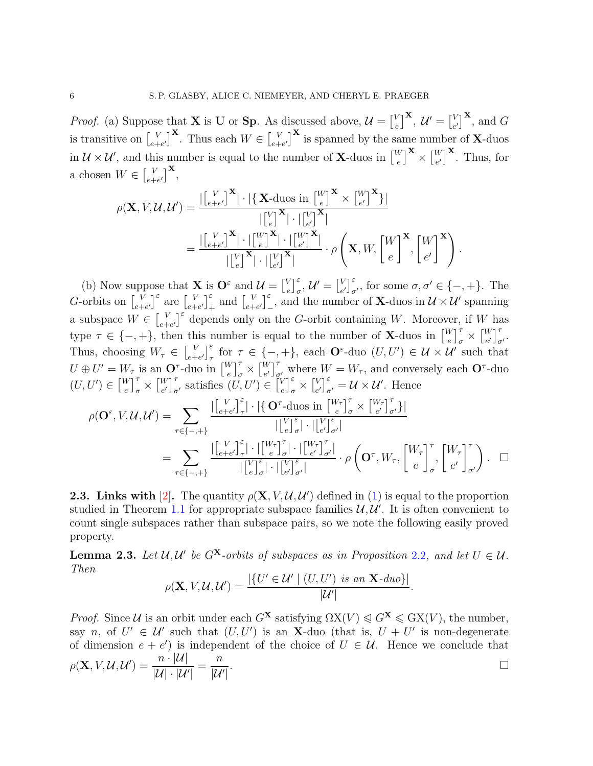*Proof.* (a) Suppose that **X** is **U** or **Sp**. As discussed above,  $\mathcal{U} = \begin{bmatrix} V & 0 \\ 0 & 0 \end{bmatrix}$  $\left[\begin{smallmatrix} V\ e \end{smallmatrix}\right]^\mathbf{X},\ \mathcal{U}'=\left[\begin{smallmatrix} V\ e \end{smallmatrix}\right]$  $_{e'}^V$ <sup>X</sup>, and G is transitive on  $\begin{bmatrix} V \\ e+ \end{bmatrix}$  $\begin{bmatrix} V \\ e+e' \end{bmatrix}$ **X**. Thus each  $W \in \begin{bmatrix} V \\ e+e' \end{bmatrix}$  $\binom{V}{e+e'}$  is spanned by the same number of **X**-duos in  $\mathcal{U} \times \mathcal{U}'$ , and this number is equal to the number of **X**-duos in  $\begin{bmatrix} W \\ e \end{bmatrix}$  $\left[\begin{smallmatrix} W\ e \end{smallmatrix}\right]^{\mathbf{X}}\times \left[\begin{smallmatrix} W\ e' \end{smallmatrix}\right]$  $_{e'}^W$ <sup>X</sup>. Thus, for a chosen  $W \in \begin{bmatrix} V \\ e+ \end{bmatrix}$  $\left[ \begin{matrix} V \ e+e' \end{matrix} \right]^{\mathbf{X}},$ 

$$
\rho(\mathbf{X}, V, \mathcal{U}, \mathcal{U}') = \frac{\left| \begin{bmatrix} V & \mathbf{X} \\ e+e' \end{bmatrix}^{\mathbf{X}} \right| \cdot \left| \left\{ \mathbf{X} \text{-duos in } \begin{bmatrix} W \\ e \end{bmatrix}^{\mathbf{X}} \times \begin{bmatrix} W \\ e' \end{bmatrix}^{\mathbf{X}} \right|}{\left| \begin{bmatrix} V \\ e+e' \end{bmatrix}^{\mathbf{X}} \right| \cdot \left| \begin{bmatrix} W \\ e \end{bmatrix}^{\mathbf{X}} \right| \cdot \left| \begin{bmatrix} V \\ e' \end{bmatrix}^{\mathbf{X}} \right|}{\left| \begin{bmatrix} V \\ e \end{bmatrix}^{\mathbf{X}} \right| \cdot \left| \begin{bmatrix} V \\ e' \end{bmatrix}^{\mathbf{X}} \right|} \cdot \rho \left( \mathbf{X}, W, \begin{bmatrix} W \\ e \end{bmatrix}^{\mathbf{X}}, \begin{bmatrix} W \\ e' \end{bmatrix}^{\mathbf{X}} \right).
$$

(b) Now suppose that **X** is  $\mathbf{O}^{\varepsilon}$  and  $\mathcal{U} = \begin{bmatrix} V_{e} \\ V_{e} \end{bmatrix}$  $\left[\begin{smallmatrix} V \\ e \end{smallmatrix}\right]_{\sigma}^{\varepsilon}, \mathcal{U}' = \left[\begin{smallmatrix} V \\ e \end{smallmatrix}\right]$  $_{e'}^{V}\Big]_{\sigma'}^{\varepsilon}$ , for some  $\sigma, \sigma' \in \{-, +\}$ . The G-orbits on  $\begin{bmatrix} V \\ e+ \end{bmatrix}$  $\begin{bmatrix} V \\ e+e' \end{bmatrix}^{\varepsilon}$  are  $\begin{bmatrix} V \\ e+e' \end{bmatrix}$  $\left[\begin{matrix} V \\ e+e' \end{matrix}\right]_+^{\varepsilon}$  and  $\left[\begin{matrix} V \\ e+e' \end{matrix}\right]$  $\bigcup_{e+e'}^{V}\bigg|_{-1}^{\varepsilon}$ , and the number of **X**-duos in  $\mathcal{U}\times\mathcal{U}'$  spanning a subspace  $W \in \begin{bmatrix} V \\ e^+ \end{bmatrix}$  $\bigcup_{e+e'}^{V}$  depends only on the G-orbit containing W. Moreover, if W has type  $\tau \in \{-, +\}$ , then this number is equal to the number of **X**-duos in  $\begin{bmatrix} W \\ e \end{bmatrix}$  $\begin{bmatrix} V \\ e \end{bmatrix}_{\sigma}^{\tau} \times \begin{bmatrix} W \\ e' \end{bmatrix}$  $\begin{bmatrix} W \\ e' \end{bmatrix}^{\tau}_{\sigma'}$ . Thus, choosing  $W_{\tau} \in \begin{bmatrix} V_{\tau} \\ e^{+} \end{bmatrix}$  $\bigcup_{e+e'}^{V}\bigg|_{\tau}^{\varepsilon}$  for  $\tau \in \{-,+\}$ , each  $\mathbf{O}^{\varepsilon}$ -duo  $(U, U') \in \mathcal{U} \times \mathcal{U}'$  such that  $U \oplus U' = W_{\tau}$  is an  $\mathbf{O}^{\tau}$ -duo in  $\begin{bmatrix} W \\ e \end{bmatrix}$  $\begin{bmatrix} V \\ e \end{bmatrix}$  $\begin{bmatrix} \tau \\ \sigma \end{bmatrix} \times \begin{bmatrix} W \\ e' \end{bmatrix}$  $\left\{ \begin{bmatrix} W \\ \sigma' \end{bmatrix} \right\}$  where  $W = W_{\tau}$ , and conversely each **O**<sup> $\tau$ </sup>-duo  $(U, U') \in \begin{bmatrix} W \\ e \end{bmatrix}$  $\begin{bmatrix} V \\ e \end{bmatrix}$  $\begin{bmatrix} \tau \\ \sigma \end{bmatrix} \times \begin{bmatrix} W \\ e' \end{bmatrix}$  $\left[\begin{matrix}W\\e'\end{matrix}\right]_{\sigma'}^{\tau}$  satisfies  $(U, U') \in \left[\begin{matrix}V\\e\end{matrix}\right]$  $\left[\begin{matrix} V \\ e \end{matrix}\right]_{\sigma}^{\varepsilon} \times \left[\begin{matrix} V \\ e \end{matrix}\right]$  $\left[\begin{smallmatrix} V\\[1mm] e'\end{smallmatrix}\right]_{\sigma'}^{\varepsilon} = \mathcal{U} \times \mathcal{U}'$ . Hence

$$
\rho(\mathbf{O}^{\varepsilon}, V, \mathcal{U}, \mathcal{U}') = \sum_{\tau \in \{-,+\}} \frac{\left| \begin{bmatrix} V \\ e+e' \end{bmatrix}_{\tau}^{\varepsilon} \right| \cdot \left| \left\{ \mathbf{O}^{\tau} \text{-duos in} \begin{bmatrix} W_{\tau} \\ e \end{bmatrix}_{\sigma}^{\tau} \times \begin{bmatrix} W_{\tau} \\ e' \end{bmatrix}_{\sigma'}^{\tau} \right\} \right|}{\left| \begin{bmatrix} V \\ e \end{bmatrix}_{\sigma}^{\varepsilon} \right| \cdot \left| \begin{bmatrix} V \\ e \end{bmatrix}_{\sigma}^{\varepsilon} \right| \cdot \left| \begin{bmatrix} V \\ e' \end{bmatrix}_{\sigma'}^{\varepsilon} \right|}{\left| \begin{bmatrix} V \\ e \end{bmatrix}_{\sigma}^{\tau} \right| \cdot \left| \begin{bmatrix} W_{\tau} \\ e' \end{bmatrix}_{\sigma'}^{\tau} \right|} \cdot \rho \left( \mathbf{O}^{\tau}, W_{\tau}, \begin{bmatrix} W_{\tau} \\ e \end{bmatrix}_{\sigma}^{\tau}, \begin{bmatrix} W_{\tau} \\ e' \end{bmatrix}_{\sigma'}^{\tau} \right) . \quad \Box
$$

<span id="page-5-0"></span>**2.3. Links with** [\[2\]](#page-22-2). The quantity  $\rho(\mathbf{X}, V, \mathcal{U}, \mathcal{U}')$  defined in [\(1\)](#page-3-1) is equal to the proportion studied in Theorem [1.1](#page-0-0) for appropriate subspace families  $\mathcal{U}, \mathcal{U}'$ . It is often convenient to count single subspaces rather than subspace pairs, so we note the following easily proved property.

<span id="page-5-1"></span>**Lemma [2](#page-4-0).3.** Let  $\mathcal{U}, \mathcal{U}'$  be  $G^{\mathbf{X}}$ -orbits of subspaces as in Proposition 2.2, and let  $U \in \mathcal{U}$ . *Then*

$$
\rho(\mathbf{X}, V, \mathcal{U}, \mathcal{U}') = \frac{|\{U' \in \mathcal{U}' \mid (U, U') \text{ is an } \mathbf{X} \text{-}duo\}|}{|\mathcal{U}'|}
$$

.

*Proof.* Since *U* is an orbit under each  $G^{\mathbf{X}}$  satisfying  $\Omega X(V) \leqslant G^{\mathbf{X}} \leqslant G X(V)$ , the number, say n, of  $U' \in \mathcal{U}'$  such that  $(U, U')$  is an X-duo (that is,  $U + U'$  is non-degenerate of dimension  $e + e'$  is independent of the choice of  $U \in \mathcal{U}$ . Hence we conclude that  $\rho(\mathbf{X},V,\mathcal{U},\mathcal{U}')=\frac{n\cdot|\mathcal{U}|}{\mathbb{E}|\mathcal{U}|-|\mathcal{U}|}$  $|\mathcal{U}| \cdot |\mathcal{U}'|$ = n  $|\mathcal{U}'|$ .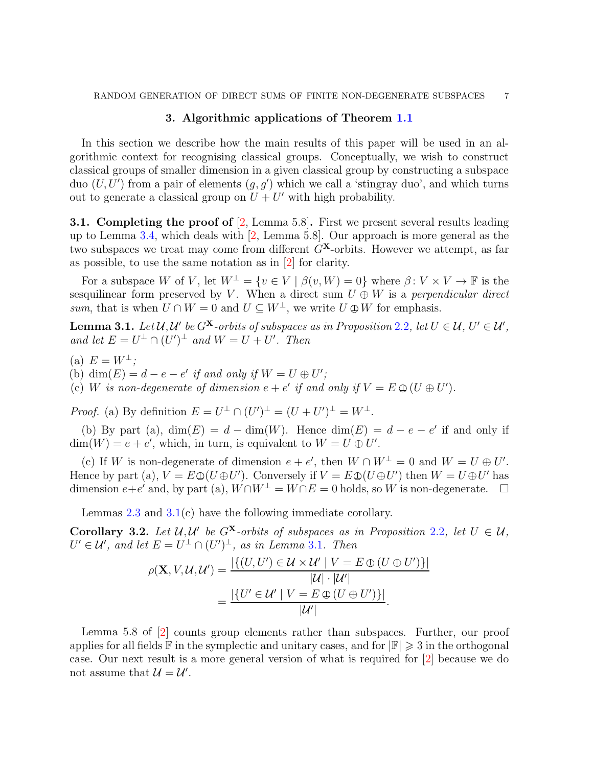# 3. Algorithmic applications of Theorem [1.1](#page-0-0)

<span id="page-6-1"></span>In this section we describe how the main results of this paper will be used in an algorithmic context for recognising classical groups. Conceptually, we wish to construct classical groups of smaller dimension in a given classical group by constructing a subspace duo  $(U, U')$  from a pair of elements  $(g, g')$  which we call a 'stingray duo', and which turns out to generate a classical group on  $U + U'$  with high probability.

<span id="page-6-0"></span>**3.1.** Completing the proof of  $[2, \text{Lemma 5.8}]$  $[2, \text{Lemma 5.8}]$ . First we present several results leading up to Lemma [3.4,](#page-7-0) which deals with [\[2,](#page-22-2) Lemma 5.8]. Our approach is more general as the two subspaces we treat may come from different  $G^{\mathbf{X}}$ -orbits. However we attempt, as far as possible, to use the same notation as in [\[2\]](#page-22-2) for clarity.

For a subspace W of V, let  $W^{\perp} = \{v \in V \mid \beta(v, W) = 0\}$  where  $\beta: V \times V \to \mathbb{F}$  is the sesquilinear form preserved by V. When a direct sum  $U \oplus W$  is a *perpendicular direct sum*, that is when  $U \cap W = 0$  and  $U \subseteq W^{\perp}$ , we write  $U \oplus W$  for emphasis.

<span id="page-6-2"></span>**Lemma 3.1.** Let  $\mathcal{U}, \mathcal{U}'$  be  $G^{\mathbf{X}}$ -orbits of subspaces as in Proposition [2](#page-4-0).2, let  $U \in \mathcal{U}, U' \in \mathcal{U}'$ , *and let*  $E = U^{\perp} \cap (U')^{\perp}$  *and*  $W = U + U'$ *. Then* 

(a)  $E = W^{\perp}$ .

(b) dim $(E) = d - e - e'$  *if and only if*  $W = U \oplus U'$ ;

(c) W is non-degenerate of dimension  $e + e'$  if and only if  $V = E \oplus (U \oplus U')$ .

*Proof.* (a) By definition  $E = U^{\perp} \cap (U')^{\perp} = (U + U')^{\perp} = W^{\perp}$ .

(b) By part (a),  $\dim(E) = d - \dim(W)$ . Hence  $\dim(E) = d - e - e'$  if and only if  $\dim(W) = e + e'$ , which, in turn, is equivalent to  $W = U \oplus U'$ .

(c) If W is non-degenerate of dimension  $e + e'$ , then  $W \cap W^{\perp} = 0$  and  $W = U \oplus U'$ . Hence by part (a),  $V = E \oplus (U \oplus U')$ . Conversely if  $V = E \oplus (U \oplus U')$  then  $W = U \oplus U'$  has dimension  $e+e'$  and, by part (a),  $W\cap W^{\perp} = W\cap E = 0$  holds, so W is non-degenerate.  $\square$ 

Lemmas [2.3](#page-5-1) and [3.1\(](#page-6-2)c) have the following immediate corollary.

<span id="page-6-3"></span>**Corollary 3.[2](#page-4-0).** Let  $\mathcal{U}, \mathcal{U}'$  be  $G^{\mathbf{X}}$ -orbits of subspaces as in Proposition 2.2, let  $U \in \mathcal{U}$ ,  $U' \in \mathcal{U}'$ , and let  $E = U^{\perp} \cap (U')^{\perp}$ , as in Lemma [3](#page-6-2).1. Then

$$
\rho(\mathbf{X}, V, \mathcal{U}, \mathcal{U}') = \frac{|\{(U, U') \in \mathcal{U} \times \mathcal{U}' \mid V = E \oplus (U \oplus U')\}|}{|\mathcal{U}| \cdot |\mathcal{U}'|}
$$

$$
= \frac{|\{U' \in \mathcal{U}' \mid V = E \oplus (U \oplus U')\}|}{|\mathcal{U}'|}.
$$

Lemma 5.8 of [\[2\]](#page-22-2) counts group elements rather than subspaces. Further, our proof applies for all fields  $\mathbb F$  in the symplectic and unitary cases, and for  $|\mathbb F|\geqslant 3$  in the orthogonal case. Our next result is a more general version of what is required for [\[2\]](#page-22-2) because we do not assume that  $\mathcal{U} = \mathcal{U}'$ .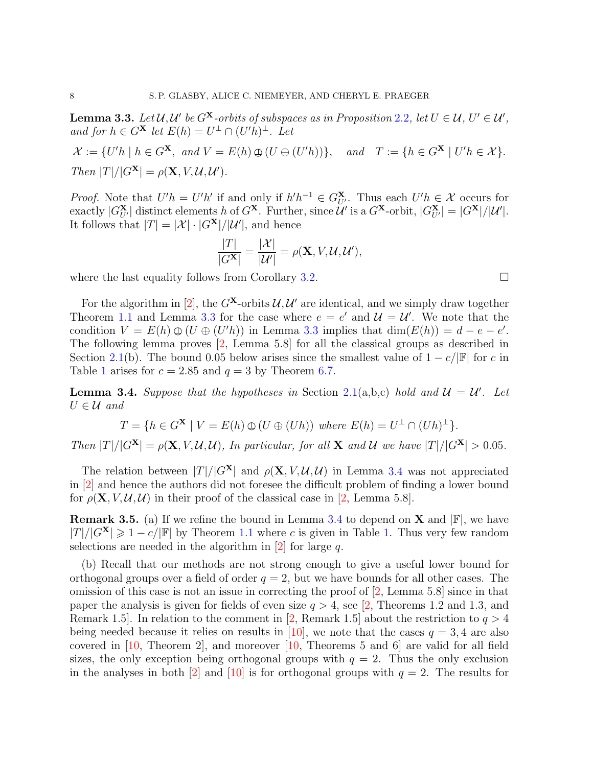<span id="page-7-1"></span>**Lemma 3.3.** Let  $\mathcal{U}, \mathcal{U}'$  be  $G^{\mathbf{X}}$ -orbits of subspaces as in Proposition [2](#page-4-0).2, let  $U \in \mathcal{U}, U' \in \mathcal{U}'$ , *and for*  $h \in G^{\mathbf{X}}$  *let*  $E(h) = U^{\perp} \cap (U'h)^{\perp}$ *. Let* 

 $\mathcal{X} := \{U'h \mid h \in G^{\mathbf{X}}, \text{ and } V = E(h) \oplus (U \oplus (U'h))\}, \text{ and } T := \{h \in G^{\mathbf{X}} \mid U'h \in \mathcal{X}\}.$ *Then*  $|T|/|G^{\mathbf{X}}| = \rho(\mathbf{X}, V, \mathcal{U}, \mathcal{U}^{\prime}).$ 

*Proof.* Note that  $U'h = U'h'$  if and only if  $h'h^{-1} \in G_{U'}^{\mathbf{X}}$ . Thus each  $U'h \in \mathcal{X}$  occurs for exactly  $|G_{U'}^{\mathbf{X}}|$  distinct elements h of  $G^{\mathbf{X}}$ . Further, since  $\mathcal{U}'$  is a  $G^{\mathbf{X}}$ -orbit,  $|G_{U'}^{\mathbf{X}}| = |G^{\mathbf{X}}|/|\mathcal{U}'|$ . It follows that  $|T| = |\mathcal{X}| \cdot |G^{\mathbf{X}}| / |\mathcal{U}'|$ , and hence

$$
\frac{|T|}{|G^{\mathbf{X}}|} = \frac{|\mathcal{X}|}{|\mathcal{U}'|} = \rho(\mathbf{X}, V, \mathcal{U}, \mathcal{U}'),
$$

where the last equality follows from Corollary [3.2.](#page-6-3)  $\Box$ 

For the algorithm in [\[2\]](#page-22-2), the  $G^{\mathbf{X}}$ -orbits  $\mathcal{U}, \mathcal{U}'$  are identical, and we simply draw together Theorem [1.1](#page-0-0) and Lemma [3.3](#page-7-1) for the case where  $e = e'$  and  $\mathcal{U} = \mathcal{U}'$ . We note that the condition  $V = E(h) \oplus (U \oplus (U'h))$  in Lemma [3.3](#page-7-1) implies that  $\dim(E(h)) = d - e - e'$ . The following lemma proves [\[2,](#page-22-2) Lemma 5.8] for all the classical groups as described in Section [2.1\(](#page-2-1)b). The bound 0.05 below arises since the smallest value of  $1 - c/|\mathbb{F}|$  for c in Table [1](#page-0-0) arises for  $c = 2.85$  and  $q = 3$  by Theorem [6.7.](#page-18-1)

<span id="page-7-0"></span>**Lemma 3.4.** Suppose that the hypotheses in Section [2.1\(](#page-2-1)a,b,c) hold and  $\mathcal{U} = \mathcal{U}'$ . Let  $U \in \mathcal{U}$  and

$$
T = \{ h \in G^{\mathbf{X}} \mid V = E(h) \oplus (U \oplus (Uh)) \text{ where } E(h) = U^{\perp} \cap (Uh)^{\perp} \}.
$$

*Then*  $|T|/|G^{\mathbf{X}}| = \rho(\mathbf{X}, V, \mathcal{U}, \mathcal{U})$ *, In particular, for all* **X** *and*  $\mathcal{U}$  *we have*  $|T|/|G^{\mathbf{X}}| > 0.05$ *.* 

The relation between  $|T|/|G^{\mathbf{X}}|$  and  $\rho(\mathbf{X}, V, \mathcal{U}, \mathcal{U})$  in Lemma [3.4](#page-7-0) was not appreciated in [\[2\]](#page-22-2) and hence the authors did not foresee the difficult problem of finding a lower bound for  $\rho(\mathbf{X}, V, \mathcal{U}, \mathcal{U})$  in their proof of the classical case in [\[2,](#page-22-2) Lemma 5.8].

**Remark 3.5.** (a) If we refine the bound in Lemma [3.4](#page-7-0) to depend on **X** and  $\mathbb{F}$ , we have  $|T|/|G^{\mathbf{X}}| \geq 1 - c/|\mathbb{F}|$  by Theorem [1.1](#page-0-0) where c is given in Table [1.](#page-0-0) Thus very few random selections are needed in the algorithm in  $[2]$  for large q.

(b) Recall that our methods are not strong enough to give a useful lower bound for orthogonal groups over a field of order  $q = 2$ , but we have bounds for all other cases. The omission of this case is not an issue in correcting the proof of [\[2,](#page-22-2) Lemma 5.8] since in that paper the analysis is given for fields of even size  $q > 4$ , see [\[2,](#page-22-2) Theorems 1.2 and 1.3, and Remark 1.5. In relation to the comment in [\[2,](#page-22-2) Remark 1.5] about the restriction to  $q > 4$ being needed because it relies on results in [\[10\]](#page-22-3), we note that the cases  $q = 3, 4$  are also covered in [\[10,](#page-22-3) Theorem 2], and moreover [\[10,](#page-22-3) Theorems 5 and 6] are valid for all field sizes, the only exception being orthogonal groups with  $q = 2$ . Thus the only exclusion in the analyses in both [\[2\]](#page-22-2) and [\[10\]](#page-22-3) is for orthogonal groups with  $q = 2$ . The results for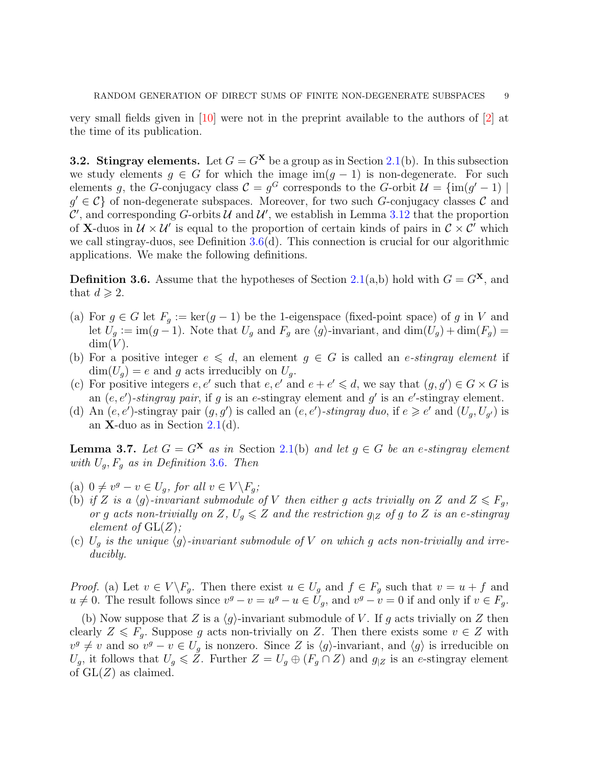very small fields given in [\[10\]](#page-22-3) were not in the preprint available to the authors of [\[2\]](#page-22-2) at the time of its publication.

<span id="page-8-0"></span>**3.2. Stingray elements.** Let  $G = G^{\mathbf{X}}$  be a group as in Section [2.1\(](#page-2-1)b). In this subsection we study elements  $q \in G$  for which the image im $(q - 1)$  is non-degenerate. For such elements g, the G-conjugacy class  $C = g^G$  corresponds to the G-orbit  $\mathcal{U} = \{im(g' - 1) \mid$  $g' \in \mathcal{C}$  of non-degenerate subspaces. Moreover, for two such G-conjugacy classes C and  $\mathcal{C}'$ , and corresponding G-orbits U and U', we establish in Lemma [3.12](#page-11-1) that the proportion of **X**-duos in  $\mathcal{U} \times \mathcal{U}'$  is equal to the proportion of certain kinds of pairs in  $\mathcal{C} \times \mathcal{C}'$  which we call stingray-duos, see Definition [3.6\(](#page-8-1)d). This connection is crucial for our algorithmic applications. We make the following definitions.

<span id="page-8-1"></span>**Definition 3.6.** Assume that the hypotheses of Section [2.1\(](#page-2-1)a,b) hold with  $G = G^{\mathbf{X}}$ , and that  $d \geqslant 2$ .

- (a) For  $g \in G$  let  $F_g := \ker(g-1)$  be the 1-eigenspace (fixed-point space) of g in V and let  $U_g := \text{im}(g-1)$ . Note that  $U_g$  and  $F_g$  are  $\langle g \rangle$ -invariant, and  $\dim(U_g) + \dim(F_g) =$  $dim(V)$ .
- (b) For a positive integer  $e \leq d$ , an element  $g \in G$  is called an *e-stingray element* if  $\dim(U_q) = e$  and g acts irreducibly on  $U_q$ .
- (c) For positive integers e, e' such that e, e' and  $e + e' \leq d$ , we say that  $(g, g') \in G \times G$  is an  $(e, e')$ -*stingray pair*, if g is an e-stingray element and g' is an e'-stingray element.
- (d) An  $(e, e')$ -stingray pair  $(g, g')$  is called an  $(e, e')$ -stingray duo, if  $e \geq e'$  and  $(U_g, U_{g'})$  is an **X**-duo as in Section  $2.1(d)$  $2.1(d)$ .

<span id="page-8-2"></span>**Lemma 3.7.** *Let*  $G = G^{\mathbf{X}}$  *as in* Section [2.1\(](#page-2-1)b) *and let*  $g \in G$  *be an e-stingray element with* Ug, F<sup>g</sup> *as in Definition* [3](#page-8-1).6*. Then*

- (a)  $0 \neq v^g v \in U_g$ , for all  $v \in V \backslash F_g$ ;
- (b) if Z is a  $\langle g \rangle$ -invariant submodule of V then either g acts trivially on Z and  $Z \leq F_q$ , *or* g acts non-trivially on Z,  $U_q \leq Z$  and the restriction  $g_{|Z}$  of g to Z is an e-stingray *element of*  $GL(Z)$ *;*
- (c)  $U_q$  *is the unique*  $\langle g \rangle$ -*invariant submodule of* V *on which* g *acts non-trivially and irreducibly.*

*Proof.* (a) Let  $v \in V \backslash F_g$ . Then there exist  $u \in U_g$  and  $f \in F_g$  such that  $v = u + f$  and  $u \neq 0$ . The result follows since  $v^g - v = u^g - u \in U_g$ , and  $v^g - v = 0$  if and only if  $v \in F_g$ .

(b) Now suppose that Z is a  $\langle g \rangle$ -invariant submodule of V. If g acts trivially on Z then clearly  $Z \leq F_q$ . Suppose g acts non-trivially on Z. Then there exists some  $v \in Z$  with  $v^g \neq v$  and so  $v^g - v \in U_g$  is nonzero. Since Z is  $\langle g \rangle$ -invariant, and  $\langle g \rangle$  is irreducible on  $U_g$ , it follows that  $U_g \leqslant Z$ . Further  $Z = U_g \oplus (F_g \cap Z)$  and  $g_{|Z}$  is an e-stingray element of  $GL(Z)$  as claimed.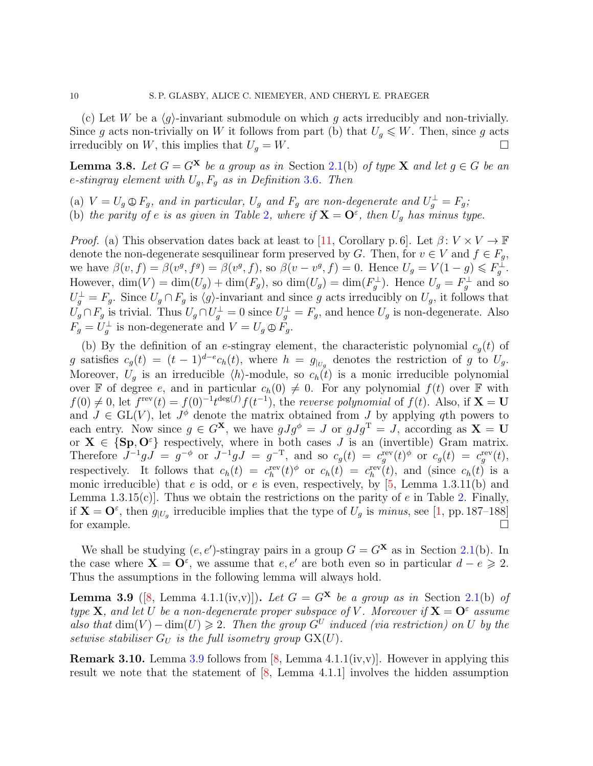(c) Let W be a  $\langle g \rangle$ -invariant submodule on which g acts irreducibly and non-trivially. Since g acts non-trivially on W it follows from part (b) that  $U_q \leqslant W$ . Then, since g acts irreducibly on W, this implies that  $U_g = W$ .

<span id="page-9-1"></span>**Lemma 3.8.** Let  $G = G^{\mathbf{X}}$  be a group as in Section [2.1\(](#page-2-1)b) of type **X** and let  $g \in G$  be an e*-stingray element with* Ug, F<sup>g</sup> *as in Definition* [3](#page-8-1).6*. Then*

(a)  $V = U_g \oplus F_g$ , and in particular,  $U_g$  and  $F_g$  are non-degenerate and  $U_g^{\perp} = F_g$ ; (b) the parity of e is as given in Table [2](#page-10-0), where if  $X = O^{\varepsilon}$ , then  $U_g$  has minus type.

*Proof.* (a) This observation dates back at least to [\[11,](#page-23-0) Corollary p. 6]. Let  $\beta: V \times V \to \mathbb{F}$ denote the non-degenerate sesquilinear form preserved by G. Then, for  $v \in V$  and  $f \in F_q$ , we have  $\beta(v, f) = \beta(v^g, f^g) = \beta(v^g, f)$ , so  $\beta(v - v^g, f) = 0$ . Hence  $U_g = V(1 - g) \leq F_g^{\perp}$ . However,  $\dim(V) = \dim(U_g) + \dim(F_g)$ , so  $\dim(U_g) = \dim(F_g^{\perp})$ . Hence  $U_g = F_g^{\perp}$  and so  $U_g^{\perp} = F_g$ . Since  $U_g \cap F_g$  is  $\langle g \rangle$ -invariant and since g acts irreducibly on  $U_g$ , it follows that  $U_g \cap F_g$  is trivial. Thus  $U_g \cap U_g^{\perp} = 0$  since  $U_g^{\perp} = F_g$ , and hence  $U_g$  is non-degenerate. Also  $F_g = U_g^{\perp}$  is non-degenerate and  $V = U_g \oplus F_g$ .

(b) By the definition of an e-stingray element, the characteristic polynomial  $c_g(t)$  of g satisfies  $c_g(t) = (t-1)^{d-e} c_h(t)$ , where  $h = g_{|_{U_g}}$  denotes the restriction of g to  $U_g$ . Moreover,  $U_g$  is an irreducible  $\langle h \rangle$ -module, so  $c_h(t)$  is a monic irreducible polynomial over F of degree e, and in particular  $c_h(0) \neq 0$ . For any polynomial  $f(t)$  over F with  $f(0) \neq 0$ , let  $f^{\text{rev}}(t) = f(0)^{-1}t^{\deg(f)}f(t^{-1})$ , the *reverse polynomial* of  $f(t)$ . Also, if  $X = U$ and  $J \in GL(V)$ , let  $J^{\phi}$  denote the matrix obtained from J by applying qth powers to each entry. Now since  $g \in G^{\mathbf{X}}$ , we have  $gJg^{\phi} = J$  or  $gJg^{\mathrm{T}} = J$ , according as  $\mathbf{X} = \mathbf{U}$ or  $X \in \{Sp, O^{\varepsilon}\}\$  respectively, where in both cases J is an (invertible) Gram matrix. Therefore  $J^{-1}gJ = g^{-\phi}$  or  $J^{-1}gJ = g^{-T}$ , and so  $c_g(t) = c_g^{\text{rev}}(t)^{\phi}$  or  $c_g(t) = c_g^{\text{rev}}(t)$ , respectively. It follows that  $c_h(t) = c_h^{\text{rev}}(t)$ <sup> $\phi$ </sup> or  $c_h(t) = c_h^{\text{rev}}(t)$ , and (since  $c_h(t)$  is a monic irreducible) that e is odd, or e is even, respectively, by  $[5, \text{Lemma } 1.3.11(b)$  and Lemma 1.3.15(c). Thus we obtain the restrictions on the parity of  $e$  in Table [2.](#page-10-0) Finally, if  $X = O^{\varepsilon}$ , then  $g_{|U_g}$  irreducible implies that the type of  $U_g$  is *minus*, see [\[1,](#page-22-6) pp. 187–188] for example.  $\Box$ 

We shall be studying  $(e, e')$ -stingray pairs in a group  $G = G^{\mathbf{X}}$  as in Section [2.1\(](#page-2-1)b). In the case where  $X = O^{\varepsilon}$ , we assume that  $e, e'$  are both even so in particular  $d - e \geq 2$ . Thus the assumptions in the following lemma will always hold.

<span id="page-9-0"></span>**Lemma 3.9** ([\[8,](#page-22-4) Lemma 4.1.1(iv,v)]). Let  $G = G^{\mathbf{X}}$  be a group as in Section [2.1\(](#page-2-1)b) of *type* **X**, and let U be a non-degenerate proper subspace of V. Moreover if  $X = O^{\epsilon}$  assume also that  $\dim(V) - \dim(U) \geq 2$ . Then the group  $G^U$  induced (via restriction) on U by the *setwise stabiliser*  $G_U$  *is the full isometry group*  $GX(U)$ *.* 

**Remark 3.10.** Lemma [3.9](#page-9-0) follows from  $[8, \text{Lemma 4.1.1}(iv, v)]$ . However in applying this result we note that the statement of [\[8,](#page-22-4) Lemma 4.1.1] involves the hidden assumption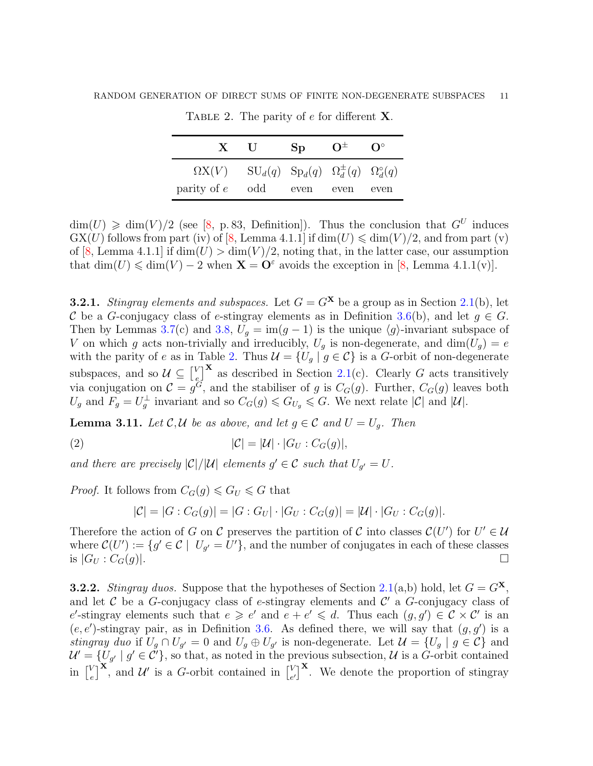| X U                                                                         | Sp | $\mathrm{O}^{\pm}$ | $\mathbf{O}^{\circ}$ |
|-----------------------------------------------------------------------------|----|--------------------|----------------------|
| $\Omega X(V)$ $SU_d(q)$ $Sp_d(q)$ $\Omega_d^{\pm}(q)$ $\Omega_d^{\circ}(q)$ |    |                    |                      |
| $\text{parity of } e \quad \text{odd} \quad \text{even} \quad \text{even}$  |    |                    | even                 |

<span id="page-10-0"></span>TABLE 2. The parity of  $e$  for different **X**.

 $\dim(U) \geq \dim(V)/2$  (see [\[8,](#page-22-4) p. 83, Definition]). Thus the conclusion that  $G^U$  induces  $GX(U)$  follows from part (iv) of [\[8,](#page-22-4) Lemma 4.1.1] if  $dim(U) \leq dim(V)/2$ , and from part (v) of [\[8,](#page-22-4) Lemma 4.1.1] if  $\dim(U) > \dim(V)/2$ , noting that, in the latter case, our assumption that  $\dim(U) \leq \dim(V) - 2$  when  $\mathbf{X} = \mathbf{O}^{\varepsilon}$  avoids the exception in [\[8,](#page-22-4) Lemma 4.1.1(v)].

**3.2.1.** *Stingray elements and subspaces.* Let  $G = G^{\mathbf{X}}$  be a group as in Section [2.1\(](#page-2-1)b), let C be a G-conjugacy class of e-stingray elements as in Definition [3.6\(](#page-8-1)b), and let  $g \in G$ . Then by Lemmas [3.7\(](#page-8-2)c) and [3.8,](#page-9-1)  $U_g = \text{im}(g - 1)$  is the unique  $\langle g \rangle$ -invariant subspace of V on which g acts non-trivially and irreducibly,  $U_g$  is non-degenerate, and dim $(U_g) = e$ with the parity of e as in Table [2.](#page-10-0) Thus  $\mathcal{U} = \{U_g \mid g \in \mathcal{C}\}\$ is a G-orbit of non-degenerate subspaces, and so  $\mathcal{U} \subseteq \begin{bmatrix} V \\ e \end{bmatrix}$  $\mathcal{L}^V_{\varepsilon}$  as described in Section [2.1\(](#page-2-1)c). Clearly G acts transitively via conjugation on  $\mathcal{C} = g^G$ , and the stabiliser of g is  $C_G(g)$ . Further,  $C_G(g)$  leaves both  $U_g$  and  $F_g = U_g^{\perp}$  invariant and so  $C_G(g) \leq G_{U_g} \leq G$ . We next relate  $|\mathcal{C}|$  and  $|\mathcal{U}|$ .

<span id="page-10-1"></span>**Lemma 3.11.** *Let*  $C, U$  *be as above, and let*  $g \in C$  *and*  $U = U_g$ *. Then* 

$$
|\mathcal{C}| = |\mathcal{U}| \cdot |G_U : C_G(g)|,
$$

*and there are precisely*  $|C|/|U|$  *elements*  $g' \in C$  *such that*  $U_{g'} = U$ .

*Proof.* It follows from  $C_G(g) \leq G_U \leq G$  that

$$
|\mathcal{C}| = |G : C_G(g)| = |G : G_U| \cdot |G_U : C_G(g)| = |\mathcal{U}| \cdot |G_U : C_G(g)|.
$$

Therefore the action of G on C preserves the partition of C into classes  $\mathcal{C}(U')$  for  $U' \in \mathcal{U}$ where  $\mathcal{C}(U') := \{g' \in \mathcal{C} \mid U_{g'} = U'\}$ , and the number of conjugates in each of these classes is  $|G_U : C_G(g)|$ .

**3.2.2.** *Stingray duos.* Suppose that the hypotheses of Section [2.1\(](#page-2-1)a,b) hold, let  $G = G^{\mathbf{X}}$ , and let  $\mathcal C$  be a G-conjugacy class of e-stingray elements and  $\mathcal C'$  a G-conjugacy class of e'-stingray elements such that  $e \geq e'$  and  $e + e' \leq d$ . Thus each  $(g, g') \in C \times C'$  is an  $(e, e')$ -stingray pair, as in Definition [3.6.](#page-8-1) As defined there, we will say that  $(g, g')$  is a *stingray duo* if  $U_g \cap U_{g'} = 0$  and  $U_g \oplus U_{g'}$  is non-degenerate. Let  $\mathcal{U} = \{U_g \mid g \in \mathcal{C}\}\$  and  $\mathcal{U}' = \{U_{g'} \mid g' \in \mathcal{C}'\}$ , so that, as noted in the previous subsection,  $\mathcal{U}$  is a G-orbit contained in  $\begin{bmatrix} V \\ e \end{bmatrix}$  $\binom{V}{e}^{\mathbf{X}}$ , and  $\mathcal{U}'$  is a G-orbit contained in  $\binom{V}{e}$  $\binom{V}{e'}^{\mathbf{X}}$ . We denote the proportion of stingray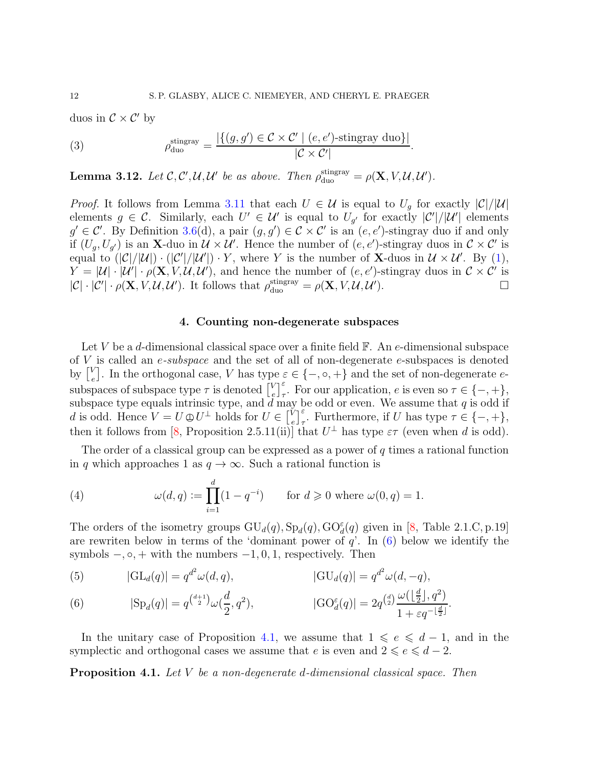duos in  $\mathcal{C} \times \mathcal{C}'$  by

(3) 
$$
\rho_{\text{duo}}^{\text{stingray}} = \frac{|\{(g, g') \in \mathcal{C} \times \mathcal{C}' \mid (e, e')\text{-stingray duo}\} |}{|\mathcal{C} \times \mathcal{C}'|}.
$$

<span id="page-11-1"></span>**Lemma 3.12.** Let  $\mathcal{C}, \mathcal{C}', \mathcal{U}, \mathcal{U}'$  be as above. Then  $\rho_{\text{duo}}^{\text{stingray}} = \rho(\mathbf{X}, V, \mathcal{U}, \mathcal{U}')$ .

*Proof.* It follows from Lemma [3.11](#page-10-1) that each  $U \in \mathcal{U}$  is equal to  $U_q$  for exactly  $|\mathcal{C}|/|\mathcal{U}|$ elements  $g \in \mathcal{C}$ . Similarly, each  $U' \in \mathcal{U}'$  is equal to  $U_{g'}$  for exactly  $|\mathcal{C}'|/|\mathcal{U}'|$  elements  $g' \in \mathcal{C}'$ . By Definition [3.6\(](#page-8-1)d), a pair  $(g, g') \in \mathcal{C} \times \mathcal{C}'$  is an  $(e, e')$ -stingray duo if and only if  $(U_g, U_{g'})$  is an **X**-duo in  $\mathcal{U} \times \mathcal{U}'$ . Hence the number of  $(e, e')$ -stingray duos in  $\mathcal{C} \times \mathcal{C}'$  is equal to  $(|\mathcal{C}|/|\mathcal{U}|) \cdot (|\mathcal{C}'|/|\mathcal{U}'|) \cdot Y$ , where Y is the number of **X**-duos in  $\mathcal{U} \times \mathcal{U}'$ . By [\(1\)](#page-3-1),  $Y = |\mathcal{U}| \cdot |\mathcal{U}'| \cdot \rho(\mathbf{X}, V, \mathcal{U}, \mathcal{U}')$ , and hence the number of  $(e, e')$ -stingray duos in  $\mathcal{C} \times \mathcal{C}'$  is  $|\mathcal{C}| \cdot |\mathcal{C}'| \cdot \rho(\mathbf{X}, V, \mathcal{U}, \mathcal{U}')$ . It follows that  $\rho_{\text{duo}}^{\text{stingray}} = \rho(\mathbf{X}, V, \mathcal{U}, \mathcal{U}')$ ).  $\qquad \qquad \Box$ 

# 4. Counting non-degenerate subspaces

<span id="page-11-0"></span>Let V be a d-dimensional classical space over a finite field  $\mathbb{F}$ . An e-dimensional subspace of V is called an e*-subspace* and the set of all of non-degenerate e-subspaces is denoted by  $\begin{bmatrix} V \\ e \end{bmatrix}$  $e^V_e$ . In the orthogonal case, V has type  $\varepsilon \in \{-,\circ,+\}$  and the set of non-degenerate esubspaces of subspace type  $\tau$  is denoted  $\begin{bmatrix} V \\ e \end{bmatrix}$  $e^V \bigg|_{\tau}^{\varepsilon}$ . For our application, e is even so  $\tau \in \{-, +\},$ subspace type equals intrinsic type, and  $d$  may be odd or even. We assume that  $q$  is odd if d is odd. Hence  $V = U \oplus U^{\perp}$  holds for  $U \in \begin{bmatrix} V \\ e \end{bmatrix}$  $\ell_{e,\tau}^{\check{V}}$ . Furthermore, if U has type  $\tau \in \{-,+\},$ then it follows from [\[8,](#page-22-4) Proposition 2.5.11(ii)] that  $U^{\perp}$  has type  $\varepsilon\tau$  (even when d is odd).

The order of a classical group can be expressed as a power of  $q$  times a rational function in q which approaches 1 as  $q \to \infty$ . Such a rational function is

<span id="page-11-5"></span>(4) 
$$
\omega(d, q) := \prod_{i=1}^{d} (1 - q^{-i})
$$
 for  $d \ge 0$  where  $\omega(0, q) = 1$ .

The orders of the isometry groups  $GU_d(q), Sp_d(q), GO_d^{\varepsilon}(q)$  given in [\[8,](#page-22-4) Table 2.1.C, p.19] are rewriten below in terms of the 'dominant power of  $q$ '. In  $(6)$  below we identify the symbols  $-, \circ, +$  with the numbers  $-1, 0, 1$ , respectively. Then

<span id="page-11-4"></span>(5) 
$$
|\mathrm{GL}_d(q)| = q^{d^2} \omega(d, q), \qquad |\mathrm{GU}_d(q)| = q^{d^2} \omega(d, -q),
$$

<span id="page-11-2"></span>(6) 
$$
|\text{Sp}_d(q)| = q^{\binom{d+1}{2}} \omega(\frac{d}{2}, q^2), \qquad |\text{GO}_d^{\varepsilon}(q)| = 2q^{\binom{d}{2}} \frac{\omega(\lfloor \frac{d}{2} \rfloor, q^2)}{1 + \varepsilon q^{-\lfloor \frac{d}{2} \rfloor}}.
$$

In the unitary case of Proposition [4.1,](#page-11-3) we assume that  $1 \leq e \leq d-1$ , and in the symplectic and orthogonal cases we assume that e is even and  $2 \leq e \leq d - 2$ .

<span id="page-11-3"></span>Proposition 4.1. *Let* V *be a non-degenerate* d*-dimensional classical space. Then*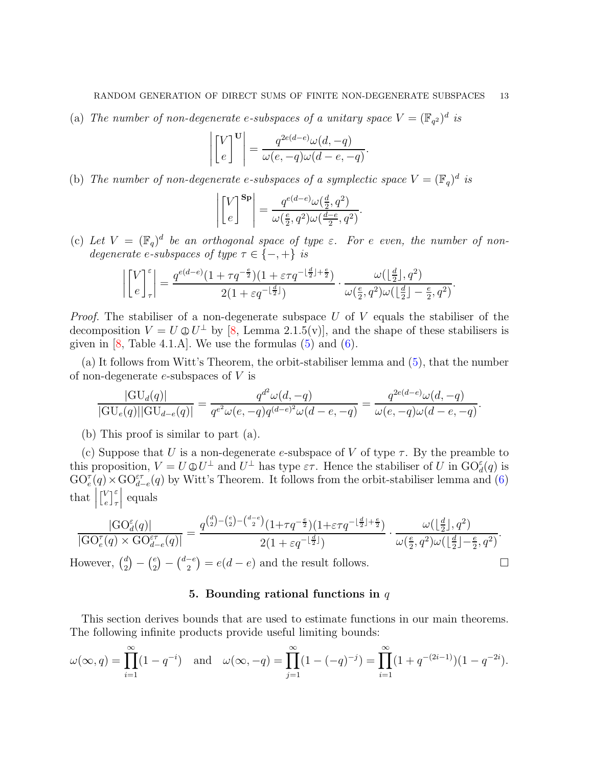(a) The number of non-degenerate e-subspaces of a unitary space  $V = (\mathbb{F}_{q^2})^d$  is

$$
\left| \begin{bmatrix} V \\ e \end{bmatrix}^{\mathbf{U}} \right| = \frac{q^{2e(d-e)}\omega(d, -q)}{\omega(e, -q)\omega(d-e, -q)}.
$$

(b) The number of non-degenerate e-subspaces of a symplectic space  $V = (\mathbb{F}_q)^d$  is

$$
\left| \begin{bmatrix} V \\ e \end{bmatrix}^{\text{Sp}} \right| = \frac{q^{e(d-e)} \omega(\frac{d}{2}, q^2)}{\omega(\frac{e}{2}, q^2) \omega(\frac{d-e}{2}, q^2)}.
$$

(c) Let  $V = (\mathbb{F}_q)^d$  be an orthogonal space of type  $\varepsilon$ . For e even, the number of non*degenerate e-subspaces of type*  $\tau \in \{-, +\}$  *is* 

$$
\left| \begin{bmatrix} V \\ e \end{bmatrix}_\tau^{\varepsilon} \right| = \frac{q^{e(d-e)}(1 + \tau q^{-\frac{e}{2}})(1 + \varepsilon \tau q^{-\lfloor \frac{d}{2} \rfloor + \frac{e}{2}})}{2(1 + \varepsilon q^{-\lfloor \frac{d}{2} \rfloor})} \cdot \frac{\omega(\lfloor \frac{d}{2} \rfloor, q^2)}{\omega(\frac{e}{2}, q^2)\omega(\lfloor \frac{d}{2} \rfloor - \frac{e}{2}, q^2)}.
$$

*Proof.* The stabiliser of a non-degenerate subspace U of V equals the stabiliser of the decomposition  $V = U \oplus U^{\perp}$  by [\[8,](#page-22-4) Lemma 2.1.5(v)], and the shape of these stabilisers is given in  $[8, \text{Table 4.1.A}]$ . We use the formulas  $(5)$  and  $(6)$ .

(a) It follows from Witt's Theorem, the orbit-stabiliser lemma and [\(5\)](#page-11-4), that the number of non-degenerate  $e$ -subspaces of  $V$  is

$$
\frac{|\mathrm{GU}_{d}(q)|}{|\mathrm{GU}_{e}(q)||\mathrm{GU}_{d-e}(q)|} = \frac{q^{d^{2}}\omega(d,-q)}{q^{e^{2}}\omega(e,-q)q^{(d-e)^{2}}\omega(d-e,-q)} = \frac{q^{2e(d-e)}\omega(d,-q)}{\omega(e,-q)\omega(d-e,-q)}.
$$

(b) This proof is similar to part (a).

(c) Suppose that U is a non-degenerate e-subspace of V of type  $\tau$ . By the preamble to this proposition,  $V = U \oplus U^{\perp}$  and  $U^{\perp}$  has type  $\varepsilon\tau$ . Hence the stabiliser of U in  $\mathrm{GO}_{d}^{\varepsilon}(q)$  is  $\mathrm{GO}_e^{\tau}(q)\times \mathrm{GO}_{d-e}^{\varepsilon\tau}(q)$  by Witt's Theorem. It follows from the orbit-stabiliser lemma and [\(6\)](#page-11-2)  $\text{that}$  $\begin{bmatrix} V \\ 0 \end{bmatrix}$  $\begin{bmatrix} V \\ e \end{bmatrix}$   $\begin{bmatrix} \varepsilon \\ \tau \end{bmatrix}$    equals

$$
\frac{|\mathrm{GO}_d^{\varepsilon}(q)|}{|\mathrm{GO}_e^{\tau}(q)\times \mathrm{GO}_{d-e}^{\varepsilon\tau}(q)|}=\frac{q^{\binom{d}{2}-\binom{e}{2}-\binom{d-e}{2}}(1+\tau q^{-\frac{e}{2}})(1+\varepsilon\tau q^{-\lfloor\frac{d}{2}\rfloor+\frac{e}{2}})}{2(1+\varepsilon q^{-\lfloor\frac{d}{2}\rfloor})}\cdot\frac{\omega(\lfloor\frac{d}{2}\rfloor,q^2)}{\omega(\frac{e}{2},q^2)\omega(\lfloor\frac{d}{2}\rfloor-\frac{e}{2},q^2)}.
$$

<span id="page-12-0"></span>However,  $\binom{d}{2}$  $\binom{d}{2} - \binom{e}{2}$  ${e \choose 2} - {d-e \choose 2}$  $\binom{-e}{2} = e(d-e)$  and the result follows.

# 5. Bounding rational functions in  $q$

This section derives bounds that are used to estimate functions in our main theorems. The following infinite products provide useful limiting bounds:

$$
\omega(\infty, q) = \prod_{i=1}^{\infty} (1 - q^{-i}) \quad \text{and} \quad \omega(\infty, -q) = \prod_{j=1}^{\infty} (1 - (-q)^{-j}) = \prod_{i=1}^{\infty} (1 + q^{-(2i-1)})(1 - q^{-2i}).
$$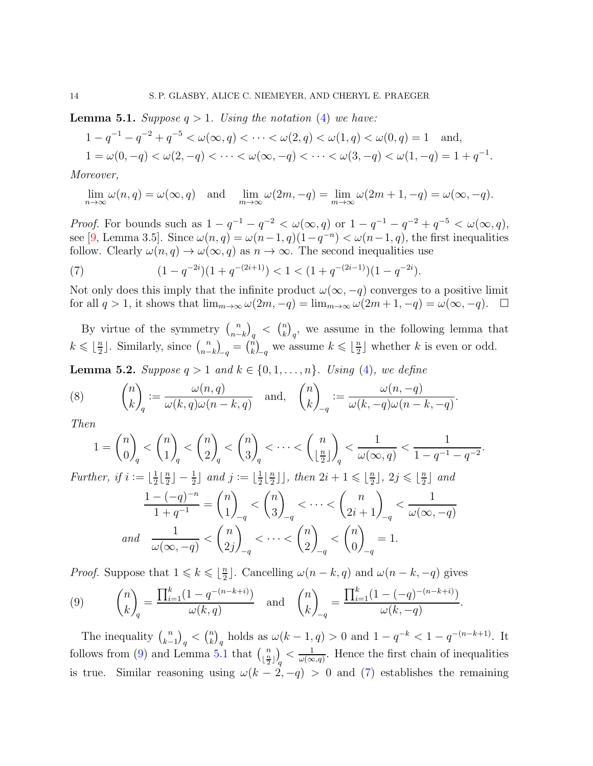<span id="page-13-1"></span>**Lemma 5.1.** *Suppose*  $q > 1$ *. Using the notation* [\(4\)](#page-11-5) *we have:* 

$$
1 - q^{-1} - q^{-2} + q^{-5} < \omega(\infty, q) < \cdots < \omega(2, q) < \omega(1, q) < \omega(0, q) = 1 \quad \text{and},
$$
\n
$$
1 = \omega(0, -q) < \omega(2, -q) < \cdots < \omega(\infty, -q) < \cdots < \omega(3, -q) < \omega(1, -q) = 1 + q^{-1}.
$$

*Moreover,*

$$
\lim_{n \to \infty} \omega(n, q) = \omega(\infty, q) \quad \text{and} \quad \lim_{m \to \infty} \omega(2m, -q) = \lim_{m \to \infty} \omega(2m + 1, -q) = \omega(\infty, -q).
$$

*Proof.* For bounds such as  $1 - q^{-1} - q^{-2} < \omega(\infty, q)$  or  $1 - q^{-1} - q^{-2} + q^{-5} < \omega(\infty, q)$ , see [\[9,](#page-22-7) Lemma 3.5]. Since  $\omega(n,q) = \omega(n-1,q)(1-q^{-n}) < \omega(n-1,q)$ , the first inequalities follow. Clearly  $\omega(n,q) \to \omega(\infty,q)$  as  $n \to \infty$ . The second inequalities use

<span id="page-13-2"></span>(7) 
$$
(1 - q^{-2i})(1 + q^{-(2i+1)}) < 1 < (1 + q^{-(2i-1)})(1 - q^{-2i}).
$$

Not only does this imply that the infinite product  $\omega(\infty, -q)$  converges to a positive limit for all  $q > 1$ , it shows that  $\lim_{m\to\infty} \omega(2m, -q) = \lim_{m\to\infty} \omega(2m + 1, -q) = \omega(\infty, -q)$ .  $\Box$ 

By virtue of the symmetry  $\binom{n}{n-1}$  $\binom{n}{n-k}_q \leq \binom{n}{k}$  ${k \choose k}_q$ , we assume in the following lemma that  $k \leqslant \lfloor \frac{n}{2} \rfloor$  $\frac{n}{2}$ . Similarly, since  $\binom{n}{n-1}$  $\binom{n}{n-k}_q = \binom{n}{k}$  $\binom{n}{k}_q$  we assume  $k \leq \lfloor \frac{n}{2} \rfloor$  $\frac{n}{2}$  whether k is even or odd.

<span id="page-13-3"></span>**Lemma 5.2.** *Suppose*  $q > 1$  *and*  $k \in \{0, 1, ..., n\}$ *. Using* [\(4\)](#page-11-5)*, we define* 

(8) 
$$
\binom{n}{k}_q := \frac{\omega(n,q)}{\omega(k,q)\omega(n-k,q)}
$$
 and,  $\binom{n}{k}_{-q} := \frac{\omega(n,-q)}{\omega(k,-q)\omega(n-k,-q)}$ .

*Then*

$$
1 = \binom{n}{0}_q < \binom{n}{1}_q < \binom{n}{2}_q < \binom{n}{3}_q < \dots < \binom{n}{\lfloor \frac{n}{2} \rfloor}_q < \frac{1}{\omega(\infty, q)} < \frac{1}{1 - q^{-1} - q^{-2}}.
$$
\nHere, if  $i := \lfloor \frac{1}{n} \rfloor = \frac{1}{2}$  and  $i := \lfloor \frac{1}{n} \rfloor$ , then  $2i + 1 < \lfloor \frac{n}{2} \rfloor = 2i < \lfloor \frac{n}{2} \rfloor$  and

Further, if 
$$
i := \lfloor \frac{1}{2} \lfloor \frac{n}{2} \rfloor - \frac{1}{2} \rfloor
$$
 and  $j := \lfloor \frac{1}{2} \lfloor \frac{n}{2} \rfloor \rfloor$ , then  $2i + 1 \le \lfloor \frac{n}{2} \rfloor$ ,  $2j \le \lfloor \frac{n}{2} \rfloor$  and  
\n
$$
\frac{1 - (-q)^{-n}}{1 + q^{-1}} = {n \choose 1}_{-q} < {n \choose 3}_{-q} < \cdots < {n \choose 2i + 1}_{-q} < \frac{1}{\omega(\infty, -q)}
$$
\nand 
$$
\frac{1}{\omega(\infty, -q)} < {n \choose 2j}_{-q} < \cdots < {n \choose 2}_{-q} < {n \choose 0}_{-q} = 1.
$$

*Proof.* Suppose that  $1 \leqslant k \leqslant \lfloor \frac{n}{2} \rfloor$  $\frac{n}{2}$ . Cancelling  $\omega(n-k, q)$  and  $\omega(n-k, -q)$  gives

<span id="page-13-0"></span>(9) 
$$
{n \choose k}_q = \frac{\prod_{i=1}^k (1 - q^{-(n-k+i)})}{\omega(k,q)} \text{ and } {n \choose k}_{-q} = \frac{\prod_{i=1}^k (1 - (-q)^{-(n-k+i)})}{\omega(k,-q)}
$$

The inequality  $\binom{n}{k}$  $\binom{n}{k-1}_q < \binom{n}{k}$  $\binom{n}{k}_q$  holds as  $\omega(k-1,q) > 0$  and  $1 - q^{-k} < 1 - q^{-(n-k+1)}$ . It follows from [\(9\)](#page-13-0) and Lemma [5.1](#page-13-1) that  $\binom{n}{n}$  $\left\lfloor \frac{n}{2} \right\rfloor \right\rfloor$   $< \frac{1}{\omega(\infty)}$  $\frac{1}{\omega(\infty,q)}$ . Hence the first chain of inequalities is true. Similar reasoning using  $\omega(k - 2, -q) > 0$  and [\(7\)](#page-13-2) establishes the remaining

.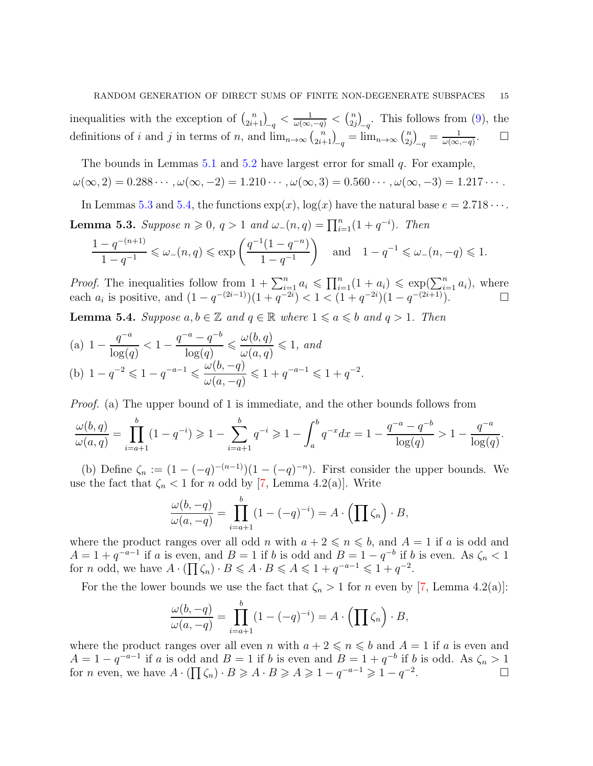inequalities with the exception of  $\binom{n}{2i+1}_{-q} < \frac{1}{\omega(\infty, -q)} < \binom{n}{2i}$  $\binom{n}{2j}_q$ . This follows from [\(9\)](#page-13-0), the definitions of i and j in terms of n, and  $\lim_{n\to\infty} {n \choose 2i+1}_q = \lim_{n\to\infty} {n \choose 2i}$  $\binom{n}{2j}_q = \frac{1}{\omega(\infty)}$  $\omega(\infty,-q)$  $\Box$ 

The bounds in Lemmas  $5.1$  and  $5.2$  have largest error for small q. For example,  $\omega(\infty, 2) = 0.288 \cdots$ ,  $\omega(\infty, -2) = 1.210 \cdots$ ,  $\omega(\infty, 3) = 0.560 \cdots$ ,  $\omega(\infty, -3) = 1.217 \cdots$ .

<span id="page-14-0"></span>In Lemmas [5.3](#page-14-0) and [5.4,](#page-14-1) the functions  $\exp(x)$ ,  $\log(x)$  have the natural base  $e = 2.718 \cdots$ . **Lemma 5.3.** Suppose  $n \ge 0$ ,  $q > 1$  and  $\omega_{-}(n,q) = \prod_{i=1}^{n} (1 + q^{-i})$ . Then

$$
\frac{1 - q^{-(n+1)}}{1 - q^{-1}} \le \omega_-(n, q) \le \exp\left(\frac{q^{-1}(1 - q^{-n})}{1 - q^{-1}}\right) \quad \text{and} \quad 1 - q^{-1} \le \omega_-(n, -q) \le 1.
$$

*Proof.* The inequalities follow from  $1 + \sum_{i=1}^{n} a_i \leq \prod_{i=1}^{n} (1 + a_i) \leq \exp(\sum_{i=1}^{n} a_i)$ , where each  $a_i$  is positive, and  $(1 - q^{-(2i-1)})(1 + q^{-2i}) < 1 < (1 + q^{-2i})(1 - q^{-(2i+1)})$ .

<span id="page-14-1"></span>**Lemma 5.4.** *Suppose*  $a, b \in \mathbb{Z}$  *and*  $q \in \mathbb{R}$  *where*  $1 \leq a \leq b$  *and*  $q > 1$ *. Then* 

(a) 
$$
1 - \frac{q^{-a}}{\log(q)} < 1 - \frac{q^{-a} - q^{-b}}{\log(q)} \le \frac{\omega(b, q)}{\omega(a, q)} \le 1
$$
, and  
\n(b)  $1 - q^{-2} \le 1 - q^{-a-1} \le \frac{\omega(b, -q)}{\omega(a, -q)} \le 1 + q^{-a-1} \le 1 + q^{-2}$ .

*Proof.* (a) The upper bound of 1 is immediate, and the other bounds follows from

$$
\frac{\omega(b,q)}{\omega(a,q)} = \prod_{i=a+1}^{b} (1 - q^{-i}) \geq 1 - \sum_{i=a+1}^{b} q^{-i} \geq 1 - \int_{a}^{b} q^{-x} dx = 1 - \frac{q^{-a} - q^{-b}}{\log(q)} > 1 - \frac{q^{-a}}{\log(q)}.
$$

(b) Define  $\zeta_n := (1 - (-q)^{-(n-1)})(1 - (-q)^{-n})$ . First consider the upper bounds. We use the fact that  $\zeta_n < 1$  for n odd by [\[7,](#page-22-0) Lemma 4.2(a)]. Write

$$
\frac{\omega(b,-q)}{\omega(a,-q)} = \prod_{i=a+1}^{b} (1 - (-q)^{-i}) = A \cdot \left(\prod \zeta_n\right) \cdot B,
$$

where the product ranges over all odd n with  $a + 2 \leq n \leq b$ , and  $A = 1$  if a is odd and  $A = 1 + q^{-a-1}$  if a is even, and  $B = 1$  if b is odd and  $B = 1 - q^{-b}$  if b is even. As  $\zeta_n < 1$ for *n* odd, we have  $A \cdot (\prod \zeta_n) \cdot B \leqslant A \cdot B \leqslant A \leqslant 1 + q^{-a-1} \leqslant 1 + q^{-2}$ .

For the the lower bounds we use the fact that  $\zeta_n > 1$  for n even by [\[7,](#page-22-0) Lemma 4.2(a)]:

$$
\frac{\omega(b,-q)}{\omega(a,-q)} = \prod_{i=a+1}^{b} (1 - (-q)^{-i}) = A \cdot \left(\prod \zeta_n\right) \cdot B,
$$

where the product ranges over all even n with  $a + 2 \leq n \leq b$  and  $A = 1$  if a is even and  $A = 1 - q^{-a-1}$  if a is odd and  $B = 1$  if b is even and  $B = 1 + q^{-b}$  if b is odd. As  $\zeta_n > 1$ for *n* even, we have  $A \cdot (\prod \zeta_n) \cdot B \geqslant A \cdot B \geqslant A \geqslant 1 - q^{-a-1} \geqslant 1 - q^{-2}$ .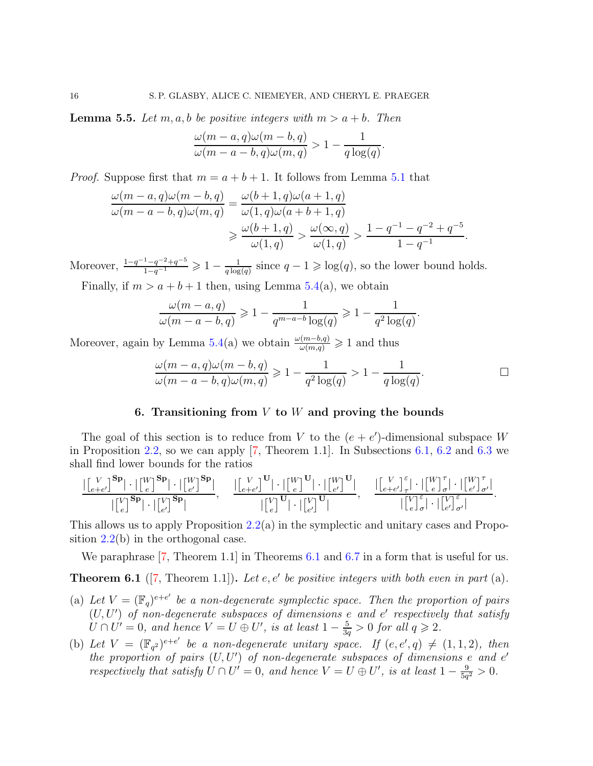<span id="page-15-2"></span>**Lemma 5.5.** Let m, a, b be positive integers with  $m > a + b$ . Then

$$
\frac{\omega(m-a,q)\omega(m-b,q)}{\omega(m-a-b,q)\omega(m,q)} > 1 - \frac{1}{q \log(q)}.
$$

*Proof.* Suppose first that  $m = a + b + 1$ . It follows from Lemma [5.1](#page-13-1) that

$$
\frac{\omega(m-a,q)\omega(m-b,q)}{\omega(m-a-b,q)\omega(m,q)} = \frac{\omega(b+1,q)\omega(a+1,q)}{\omega(1,q)\omega(a+b+1,q)} \n\ge \frac{\omega(b+1,q)}{\omega(1,q)} > \frac{\omega(\infty,q)}{\omega(1,q)} > \frac{1-q^{-1}-q^{-2}+q^{-5}}{1-q^{-1}}
$$

Moreover,  $\frac{1-q^{-1}-q^{-2}+q^{-5}}{1-q^{-1}} \geq 1-\frac{1}{q \log q}$  $\frac{1}{q \log(q)}$  since  $q - 1 \geq \log(q)$ , so the lower bound holds.

Finally, if  $m > a + b + 1$  then, using Lemma [5.4\(](#page-14-1)a), we obtain

$$
\frac{\omega(m-a,q)}{\omega(m-a-b,q)} \geq 1 - \frac{1}{q^{m-a-b}\log(q)} \geq 1 - \frac{1}{q^2\log(q)}.
$$

Moreover, again by Lemma [5.4\(](#page-14-1)a) we obtain  $\frac{\omega(m-b,q)}{\omega(m,q)} \geq 1$  and thus

$$
\frac{\omega(m-a,q)\omega(m-b,q)}{\omega(m-a-b,q)\omega(m,q)} \geq 1 - \frac{1}{q^2 \log(q)} > 1 - \frac{1}{q \log(q)}.\tag{}
$$

.

# 6. Transitioning from  $V$  to  $W$  and proving the bounds

<span id="page-15-1"></span>The goal of this section is to reduce from V to the  $(e + e')$ -dimensional subspace W in Proposition [2.2,](#page-4-0) so we can apply [\[7,](#page-22-0) Theorem 1.1]. In Subsections [6.1,](#page-16-0) [6.2](#page-17-0) and [6.3](#page-18-2) we shall find lower bounds for the ratios

$$
\frac{|\begin{bmatrix}V \\ e+e'\end{bmatrix}^{\mathbf{Sp}}|\cdot|\begin{bmatrix}W \\ e\end{bmatrix}^{\mathbf{Sp}}|\cdot|\begin{bmatrix}W \\ e'\end{bmatrix}^{\mathbf{Sp}}|}{|\begin{bmatrix}V \\ e\end{bmatrix}^{\mathbf{Sp}}|\cdot|\begin{bmatrix}W \\ e'\end{bmatrix}^{\mathbf{Sp}}|},\quad \frac{|\begin{bmatrix}V \\ e+e'\end{bmatrix}^{\mathbf{U}}|\cdot|\begin{bmatrix}W \\ e\end{bmatrix}^{\mathbf{U}}|\cdot|\begin{bmatrix}W \\ e'\end{bmatrix}^{\mathbf{U}}|}{|\begin{bmatrix}V \\ e\end{bmatrix}^{\mathbf{U}}|\cdot|\begin{bmatrix}V \\ e'\end{bmatrix}^{\mathbf{U}}|},\quad \frac{|\begin{bmatrix}V \\ e+e'\end{bmatrix}^{\varepsilon}_{\tau}|\cdot|\begin{bmatrix}W \\ e\end{bmatrix}^{\tau}_{\tau}|\cdot|\begin{bmatrix}W \\ e'\end{bmatrix}^{\tau}_{\sigma'}|}{|\begin{bmatrix}V \\ e'\end{bmatrix}^{\varepsilon}_{\sigma'}|\cdot|\begin{bmatrix}V \\ e'\end{bmatrix}^{\varepsilon}_{\sigma'}|}.
$$

This allows us to apply Proposition  $2.2(a)$  $2.2(a)$  in the symplectic and unitary cases and Proposition  $2.2(b)$  $2.2(b)$  in the orthogonal case.

We paraphrase [\[7,](#page-22-0) Theorem 1.1] in Theorems [6.1](#page-15-0) and [6.7](#page-18-1) in a form that is useful for us.

<span id="page-15-0"></span>**Theorem 6.1** ( $[7,$  Theorem 1.1]). Let  $e, e'$  be positive integers with both even in part  $(a)$ .

- (a) Let  $V = (\mathbb{F}_q)^{e+e'}$  be a non-degenerate symplectic space. Then the proportion of pairs (U, U′ ) *of non-degenerate subspaces of dimensions* e *and* e ′ *respectively that satisfy*  $U \cap U' = 0$ , and hence  $V = U \oplus U'$ , is at least  $1 - \frac{5}{3}$  $\frac{5}{3q} > 0$  *for all*  $q \geqslant 2$ *.*
- (b) Let  $V = (\mathbb{F}_{q^2})^{e+e'}$  be a non-degenerate unitary space. If  $(e, e', q) \neq (1, 1, 2)$ , then *the proportion of pairs* (U, U′ ) *of non-degenerate subspaces of dimensions* e *and* e ′ *respectively that satisfy*  $U \cap U' = 0$ *, and hence*  $V = U \oplus U'$ *, is at least*  $1 - \frac{9}{5a}$  $\frac{9}{5q^2} > 0.$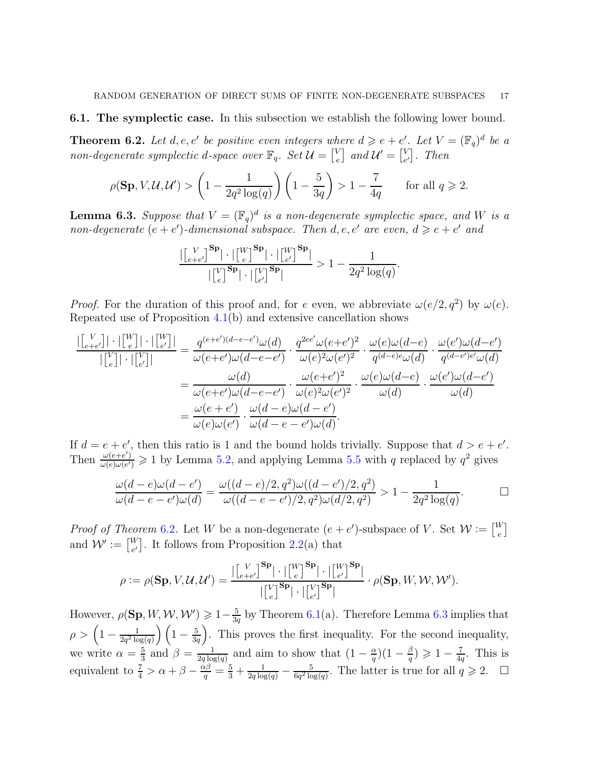#### <span id="page-16-0"></span>6.1. The symplectic case. In this subsection we establish the following lower bound.

<span id="page-16-1"></span>**Theorem 6.2.** Let d, e, e' be positive even integers where  $d \geq e + e'$ . Let  $V = (\mathbb{F}_q)^d$  be a *non-degenerate symplectic d-space over*  $\mathbb{F}_q$ *. Set*  $\mathcal{U} = \begin{bmatrix} V & 0 \\ 0 & 0 \end{bmatrix}$  $\left[ \begin{smallmatrix} V \ e \end{smallmatrix} \right]$  and  $\mathcal{U}' = \left[ \begin{smallmatrix} V \ e \end{smallmatrix} \right]$  $_{e'}^V$ . *Then* 

$$
\rho(\mathbf{Sp}, V, \mathcal{U}, \mathcal{U}') > \left(1 - \frac{1}{2q^2 \log(q)}\right) \left(1 - \frac{5}{3q}\right) > 1 - \frac{7}{4q} \qquad \text{for all } q \geqslant 2.
$$

<span id="page-16-2"></span>**Lemma 6.3.** Suppose that  $V = (\mathbb{F}_q)^d$  is a non-degenerate symplectic space, and W is a *non-degenerate*  $(e + e')$ -dimensional subspace. Then  $d, e, e'$  are even,  $d \geq e + e'$  and

$$
\frac{|\begin{bmatrix} V \\ e+e' \end{bmatrix}^{\mathbf{Sp}}| \cdot |\begin{bmatrix} W \\ e \end{bmatrix}^{\mathbf{Sp}}| \cdot |\begin{bmatrix} W \\ e' \end{bmatrix}^{\mathbf{Sp}}|}{|\begin{bmatrix} V \\ e \end{bmatrix}^{\mathbf{Sp}}| \cdot |\begin{bmatrix} V \\ e' \end{bmatrix}^{\mathbf{Sp}}|} > 1 - \frac{1}{2q^2 \log(q)}.
$$

*Proof.* For the duration of this proof and, for e even, we abbreviate  $\omega(e/2, q^2)$  by  $\omega(e)$ . Repeated use of Proposition [4.1\(](#page-11-3)b) and extensive cancellation shows

$$
\frac{\left|\begin{bmatrix}V\\e+e'\end{bmatrix}\right|\cdot\left|\begin{bmatrix}W\\e'\end{bmatrix}\right|\cdot\left|\begin{bmatrix}W\\e'\end{bmatrix}\right|}{\left|\begin{bmatrix}V\\e'\end{bmatrix}\right|\cdot\left|\begin{bmatrix}W\\e'\end{bmatrix}\right|}=\frac{q^{(e+e')(d-e-e')}\omega(d)}{\omega(e+e')\omega(d-e-e')} \cdot \frac{q^{2ee'}\omega(e+e')^2}{\omega(e)^2\omega(e')^2} \cdot \frac{\omega(e)\omega(d-e)}{q^{(d-e)e}\omega(d)} \cdot \frac{\omega(e')\omega(d-e')}{q^{(d-e')e'}\omega(d)} \\
=\frac{\omega(d)}{\omega(e+e')\omega(d-e-e')} \cdot \frac{\omega(e+e')^2}{\omega(e)^2\omega(e')^2} \cdot \frac{\omega(e)\omega(d-e)}{\omega(d)} \cdot \frac{\omega(e')\omega(d-e')}{\omega(d)} \\
=\frac{\omega(e+e')}{\omega(e)\omega(e')} \cdot \frac{\omega(d-e)\omega(d-e')}{\omega(d-e-e')\omega(d)}.
$$

If  $d = e + e'$ , then this ratio is 1 and the bound holds trivially. Suppose that  $d > e + e'$ . Then  $\frac{\omega(e+e')}{\omega(e)\omega(e')}$  $\frac{\omega(e+e')}{\omega(e)\omega(e')} \geq 1$  by Lemma [5.2,](#page-13-3) and applying Lemma [5.5](#page-15-2) with q replaced by  $q^2$  gives

$$
\frac{\omega(d-e)\omega(d-e')}{\omega(d-e-e')\omega(d)} = \frac{\omega((d-e)/2, q^2)\omega((d-e')/2, q^2)}{\omega((d-e-e')/2, q^2)\omega(d/2, q^2)} > 1 - \frac{1}{2q^2\log(q)}.\n\Box
$$

*Proof of Theorem* [6](#page-16-1).2. Let W be a non-degenerate  $(e + e')$ -subspace of V. Set  $\mathcal{W} := \begin{bmatrix} W \\ e \end{bmatrix}$  $_{e}^{\mathcal{N}}\big]$ and  $\mathcal{W}' \coloneqq \begin{bmatrix} W \\ e' \end{bmatrix}$  $_{e'}^W$ . It follows from Proposition [2.2\(](#page-4-0)a) that

$$
\rho := \rho(\mathbf{Sp}, V, \mathcal{U}, \mathcal{U}') = \frac{\left| \begin{bmatrix} V \\ e+e' \end{bmatrix}^{\mathbf{Sp}} \right| \cdot \left| \begin{bmatrix} W \\ e \end{bmatrix}^{\mathbf{Sp}} \right| \cdot \left| \begin{bmatrix} W \\ e' \end{bmatrix}^{\mathbf{Sp}} \right|}{\left| \begin{bmatrix} V \\ e \end{bmatrix}^{\mathbf{Sp}} \right| \cdot \left| \begin{bmatrix} V \\ e' \end{bmatrix}^{\mathbf{Sp}} \right|} \cdot \rho(\mathbf{Sp}, W, \mathcal{W}, \mathcal{W}').
$$

However,  $\rho(\mathbf{Sp}, W, \mathcal{W}, \mathcal{W}') \geqslant 1 - \frac{5}{36}$  $\frac{5}{3q}$  by Theorem [6.1\(](#page-15-0)a). Therefore Lemma [6.3](#page-16-2) implies that  $\rho > \left(1 - \frac{1}{2a^2 \log n}\right)$  $\frac{1}{2q^2\log(q)}\Big)\Big(1-\frac{5}{3q}$  $\frac{5}{3q}$ . This proves the first inequality. For the second inequality, we write  $\alpha = \frac{5}{3}$  $\frac{5}{3}$  and  $\beta = \frac{1}{2q \log q}$  $\frac{1}{2q \log(q)}$  and aim to show that  $\left(1 - \frac{\alpha}{q}\right)$  $\frac{\alpha}{q}$ ) $(1-\frac{\beta}{q}$  $\frac{\beta}{q}) \geqslant 1 - \frac{7}{4q}$  $\frac{7}{4q}$ . This is equivalent to  $\frac{7}{4} > \alpha + \beta - \frac{\alpha\beta}{q} = \frac{5}{3} + \frac{1}{2q \log(q)} - \frac{5}{6q^2 \log(q)}$  $\frac{5}{6q^2 \log(q)}$ . The latter is true for all  $q \geq 2$ .  $\Box$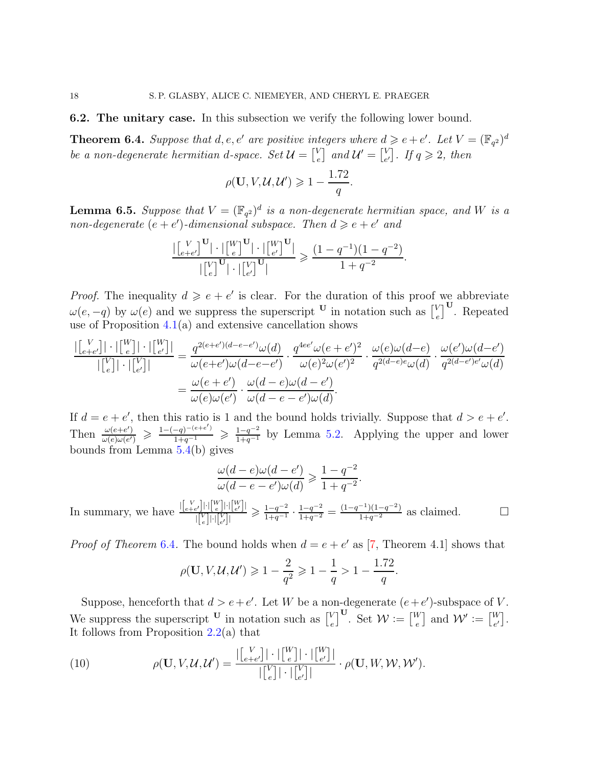<span id="page-17-0"></span>6.2. The unitary case. In this subsection we verify the following lower bound.

<span id="page-17-1"></span>**Theorem 6.4.** Suppose that  $d, e, e'$  are positive integers where  $d \geq e + e'$ . Let  $V = (\mathbb{F}_{q^2})^d$ be a non-degenerate hermitian d-space. Set  $\mathcal{U} = \begin{bmatrix} V & 0 \\ 0 & 0 \end{bmatrix}$  $\left[ \begin{smallmatrix} V \ e \end{smallmatrix} \right]$  and  $\mathcal{U}' = \left[ \begin{smallmatrix} V \ e \end{smallmatrix} \right]$  $\begin{array}{c} V_e \\ e' \end{array}$ *. If*  $q \geqslant 2$ *, then* 

$$
\rho(\mathbf{U}, V, \mathcal{U}, \mathcal{U}') \geq 1 - \frac{1.72}{q}.
$$

<span id="page-17-2"></span>**Lemma 6.5.** Suppose that  $V = (\mathbb{F}_{q^2})^d$  is a non-degenerate hermitian space, and W is a *non-degenerate*  $(e + e')$ -dimensional subspace. Then  $d \geq e + e'$  and

$$
\frac{|\begin{bmatrix} V \\ e+e' \end{bmatrix}^{\mathbf{U}}| \cdot |\begin{bmatrix} W \\ e \end{bmatrix}^{\mathbf{U}}| \cdot |\begin{bmatrix} W \\ e' \end{bmatrix}^{\mathbf{U}}|}{|\begin{bmatrix} V \\ e \end{bmatrix}^{\mathbf{U}}| \cdot |\begin{bmatrix} V \\ e' \end{bmatrix}^{\mathbf{U}}|} \geq \frac{(1-q^{-1})(1-q^{-2})}{1+q^{-2}}.
$$

*Proof.* The inequality  $d \geq e + e'$  is clear. For the duration of this proof we abbreviate  $\omega(e,-q)$  by  $\omega(e)$  and we suppress the superscript <sup>U</sup> in notation such as  $\begin{bmatrix} V \\ e \end{bmatrix}$  $_{e}^{V}$ <sup>U</sup>. Repeated use of Proposition  $4.1(a)$  $4.1(a)$  and extensive cancellation shows

$$
\frac{|\begin{bmatrix}V\\e+e'\end{bmatrix}| \cdot |\begin{bmatrix}W\\e\end{bmatrix}| \cdot |\begin{bmatrix}W\\e'\end{bmatrix}|}{|\begin{bmatrix}V\\e'\end{bmatrix}|} \cdot |\begin{bmatrix}W\\e'\end{bmatrix}|} = \frac{q^{2(e+e')(d-e-e')} \omega(d)}{\omega(e+e')\omega(d-e-e')} \cdot \frac{q^{4ee'}\omega(e+e')^2}{\omega(e)^2\omega(e')^2} \cdot \frac{\omega(e)\omega(d-e)}{q^{2(d-e)e}\omega(d)} \cdot \frac{\omega(e')\omega(d-e')}{q^{2(d-e')e'}\omega(d)}
$$

$$
= \frac{\omega(e+e')}{\omega(e)\omega(e')} \cdot \frac{\omega(d-e)\omega(d-e')}{\omega(d-e-e')\omega(d)}.
$$

If  $d = e + e'$ , then this ratio is 1 and the bound holds trivially. Suppose that  $d > e + e'$ . Then  $\frac{\omega(e+e')}{\omega(e)\omega(e')}$  $\frac{\omega(e+e')}{\omega(e)\omega(e')} \geq \frac{1-(-q)^{-(e+e')}}{1+q^{-1}} \geq \frac{1-q^{-2}}{1+q^{-1}}$  by Lemma [5.2.](#page-13-3) Applying the upper and lower bounds from Lemma [5.4\(](#page-14-1)b) gives

$$
\frac{\omega(d-e)\omega(d-e')}{\omega(d-e-e')\omega(d)} \geqslant \frac{1-q^{-2}}{1+q^{-2}}.
$$

In summary, we have  $\frac{\left|\binom{V}{e+e'}\right| \cdot \left|\binom{W}{e}\right| \cdot \left|\binom{W}{e'}\right|}{\left|\left|\left|\left|\left|\left|\left|\left|\right|\right|\right|\right|\right|}$  $\frac{\left\vert e'\right\vert\left\vert\cdot\right\vert\left\vert\frac{w}{e}\right\vert\left\vert\cdot\right\vert\left\vert\frac{w}{e'}\right\vert\right\vert}{\left\vert\left\vert\left\vert e\right\vert\right\vert\left\vert\left\vert\left\vert e'\right\vert\right\vert\right\vert}\geqslant\frac{1-q^{-2}}{1+q^{-1}}$  $\frac{1-q^{-2}}{1+q^{-1}} \cdot \frac{1-q^{-2}}{1+q^{-2}} = \frac{(1-q^{-1})(1-q^{-2})}{1+q^{-2}}$  as claimed. □

*Proof of Theorem* [6](#page-17-1).4. The bound holds when  $d = e + e'$  as [\[7,](#page-22-0) Theorem 4.1] shows that

$$
\rho(\mathbf{U}, V, \mathcal{U}, \mathcal{U}') \geq 1 - \frac{2}{q^2} \geq 1 - \frac{1}{q} > 1 - \frac{1.72}{q}.
$$

Suppose, henceforth that  $d > e + e'$ . Let W be a non-degenerate  $(e + e')$ -subspace of V. We suppress the superscript <sup>U</sup> in notation such as  $\begin{bmatrix} V \\ \epsilon \end{bmatrix}$  $\left[\begin{smallmatrix} V\\ e \end{smallmatrix}\right]^{\mathbf{U}}$ . Set  $\mathcal{W} \vcentcolon= \left[\begin{smallmatrix} W\ e \end{smallmatrix}\right]$  $\left[ \begin{smallmatrix} W'\end{smallmatrix} \right]$  and  $\mathcal{W}' \vcentcolon= \left[ \begin{smallmatrix} W\ e' \end{smallmatrix} \right]$  $_{e'}^W$ . It follows from Proposition [2.2\(](#page-4-0)a) that

<span id="page-17-3"></span>(10) 
$$
\rho(\mathbf{U}, V, \mathcal{U}, \mathcal{U}') = \frac{|\begin{bmatrix} V \\ e+e' \end{bmatrix}| \cdot |\begin{bmatrix} W \\ e \end{bmatrix}| \cdot |\begin{bmatrix} W \\ e' \end{bmatrix}|}{|\begin{bmatrix} V \\ e' \end{bmatrix}|} \cdot \rho(\mathbf{U}, W, \mathcal{W}, \mathcal{W}').
$$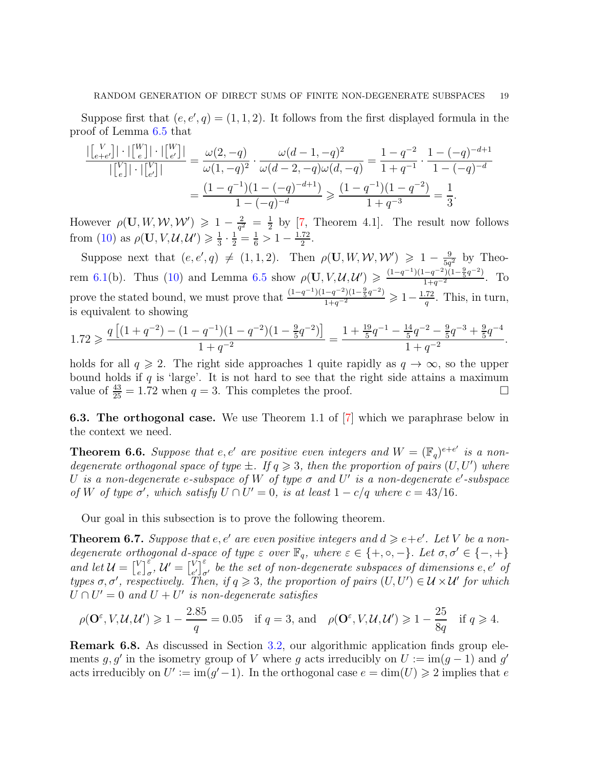Suppose first that  $(e, e', q) = (1, 1, 2)$ . It follows from the first displayed formula in the proof of Lemma [6.5](#page-17-2) that

$$
\frac{\left| \begin{bmatrix} V \\ e+e' \end{bmatrix} \right| \cdot \left| \begin{bmatrix} W \\ e' \end{bmatrix} \right| \cdot \left| \begin{bmatrix} W \\ e' \end{bmatrix} \right|}{\left| \begin{bmatrix} V \\ e' \end{bmatrix} \right| \cdot \left| \begin{bmatrix} W \\ e' \end{bmatrix} \right|} = \frac{\omega(2, -q)}{\omega(1, -q)^2} \cdot \frac{\omega(d-1, -q)^2}{\omega(d-2, -q)\omega(d, -q)} = \frac{1 - q^{-2}}{1 + q^{-1}} \cdot \frac{1 - (-q)^{-d+1}}{1 - (-q)^{-d}}
$$

$$
= \frac{(1 - q^{-1})(1 - (-q)^{-d+1})}{1 - (-q)^{-d}} \ge \frac{(1 - q^{-1})(1 - q^{-2})}{1 + q^{-3}} = \frac{1}{3}.
$$

However  $\rho(\mathbf{U}, W, W, W') \geq 1 - \frac{2}{\sigma^2}$  $\frac{2}{q^2} = \frac{1}{2}$  $\frac{1}{2}$  by [\[7,](#page-22-0) Theorem 4.1]. The result now follows from [\(10\)](#page-17-3) as  $\rho(\mathbf{U}, V, \mathcal{U}, \mathcal{U}') \geq \frac{1}{3}$  $\frac{1}{3} \cdot \frac{1}{2} = \frac{1}{6} > 1 - \frac{1.72}{2}$  $rac{72}{2}$ .

Suppose next that  $(e, e', q) \neq (1, 1, 2)$ . Then  $\rho(\mathbf{U}, W, W, W') \geq 1 - \frac{9}{5q}$  $\frac{9}{5q^2}$  by Theo-rem [6.1\(](#page-15-0)b). Thus [\(10\)](#page-17-3) and Lemma [6.5](#page-17-2) show  $\rho(\mathbf{U}, V, \mathcal{U}, \mathcal{U}') \geq \frac{(1-q^{-1})(1-q^{-2})(1-\frac{9}{5}q^{-2})}{1+q^{-2}}$  $\frac{-q}{1+q^{-2}}$ . To prove the stated bound, we must prove that  $\frac{(1-q^{-1})(1-q^{-2})(1-\frac{9}{5}q^{-2})}{1+q^{-2}} \geq 1-\frac{1.72}{q}$  $\frac{72}{q}$ . This, in turn, is equivalent to showing

$$
1.72 \geqslant \frac{q\left[(1+q^{-2})-(1-q^{-1})(1-q^{-2})(1-\frac{9}{5}q^{-2})\right]}{1+q^{-2}}=\frac{1+\frac{19}{5}q^{-1}-\frac{14}{5}q^{-2}-\frac{9}{5}q^{-3}+\frac{9}{5}q^{-4}}{1+q^{-2}}.
$$

holds for all  $q \ge 2$ . The right side approaches 1 quite rapidly as  $q \to \infty$ , so the upper bound holds if  $q$  is 'large'. It is not hard to see that the right side attains a maximum value of  $\frac{43}{25} = 1.72$  when  $q = 3$ . This completes the proof.

<span id="page-18-2"></span>6.3. The orthogonal case. We use Theorem 1.1 of [\[7\]](#page-22-0) which we paraphrase below in the context we need.

<span id="page-18-0"></span>**Theorem 6.6.** Suppose that e, e' are positive even integers and  $W = (\mathbb{F}_q)^{e+e'}$  is a non*degenerate orthogonal space of type*  $\pm$ *. If*  $q \geq 3$ *, then the proportion of pairs*  $(U, U')$  *where* U is a non-degenerate e-subspace of W of type  $\sigma$  and U' is a non-degenerate e'-subspace *of* W of type  $\sigma'$ , which satisfy  $U \cap U' = 0$ , is at least  $1 - c/q$  where  $c = 43/16$ .

Our goal in this subsection is to prove the following theorem.

<span id="page-18-1"></span>**Theorem 6.7.** Suppose that  $e, e'$  are even positive integers and  $d \geq e+e'$ . Let V be a non*degenerate orthogonal d-space of type*  $\varepsilon$  *over*  $\mathbb{F}_q$ *, where*  $\varepsilon \in \{+, \circ, -\}$ *. Let*  $\sigma, \sigma' \in \{-, +\}$ *and let*  $\mathcal{U} = \begin{bmatrix} V \\ e \end{bmatrix}$  $\left[\begin{smallmatrix} V \\[1mm] e \end{smallmatrix}\right]_{\sigma}^{\varepsilon},\,\mathcal{U}'=\left[\begin{smallmatrix} V \\[1mm] \frac{e}{\varepsilon} \end{smallmatrix}\right]$  $\sum_{e'}^{V}$ <sup> $\varepsilon$ </sup>, be the set of non-degenerate subspaces of dimensions e, e' of *types*  $\sigma$ ,  $\sigma'$ , respectively. Then, if  $q \geq 3$ , the proportion of pairs  $(U, U') \in \mathcal{U} \times \mathcal{U}'$  for which  $U \cap U' = 0$  and  $U + U'$  is non-degenerate satisfies

$$
\rho(\mathbf{O}^{\varepsilon}, V, \mathcal{U}, \mathcal{U}') \geq 1 - \frac{2.85}{q} = 0.05 \quad \text{if } q = 3 \text{, and} \quad \rho(\mathbf{O}^{\varepsilon}, V, \mathcal{U}, \mathcal{U}') \geq 1 - \frac{25}{8q} \quad \text{if } q \geq 4.
$$

<span id="page-18-3"></span>Remark 6.8. As discussed in Section [3.2,](#page-8-0) our algorithmic application finds group elements g, g' in the isometry group of V where g acts irreducibly on  $U := \text{im}(g-1)$  and g' acts irreducibly on  $U' := \text{im}(g'-1)$ . In the orthogonal case  $e = \text{dim}(U) \geq 2$  implies that e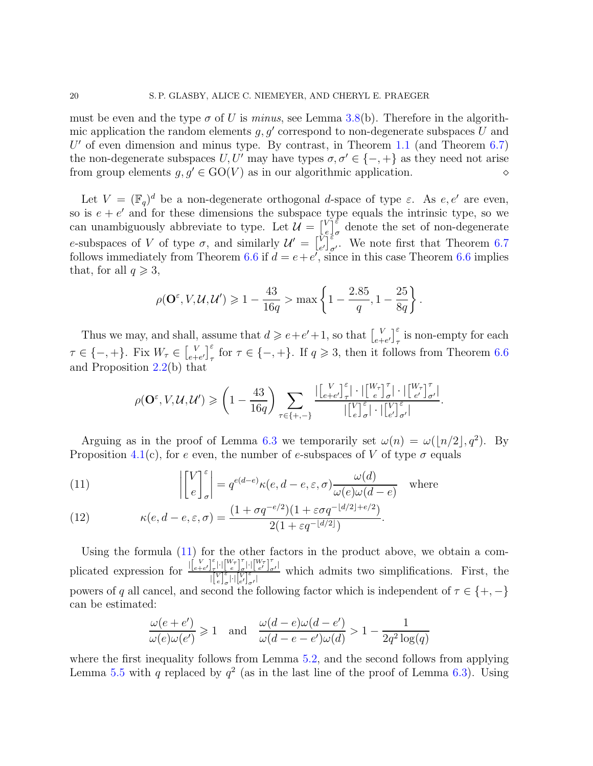must be even and the type  $\sigma$  of U is *minus*, see Lemma [3.8\(](#page-9-1)b). Therefore in the algorithmic application the random elements  $g, g'$  correspond to non-degenerate subspaces U and  $U'$  of even dimension and minus type. By contrast, in Theorem [1.1](#page-0-0) (and Theorem  $6.7$ ) the non-degenerate subspaces  $U, U'$  may have types  $\sigma, \sigma' \in \{-, +\}$  as they need not arise from group elements  $g, g' \in GO(V)$  as in our algorithmic application.

Let  $V = (\mathbb{F}_q)^d$  be a non-degenerate orthogonal *d*-space of type  $\varepsilon$ . As  $e, e'$  are even, so is  $e + e'$  and for these dimensions the subspace type equals the intrinsic type, so we can unambiguously abbreviate to type. Let  $\mathcal{U} = \begin{bmatrix} V & V \\ V & V \end{bmatrix}$  $e_{\frac{1}{2}\sigma}^{\sqrt{2}}$  denote the set of non-degenerate e-subspaces of V of type  $\sigma$ , and similarly  $\mathcal{U}' = \begin{bmatrix} V \\ \vdots \end{bmatrix}$  $\widetilde{V}^{\tilde{\epsilon}}_{e'}$ . We note first that Theorem [6.7](#page-18-1) follows immediately from Theorem [6.6](#page-18-0) if  $d = e + e'$ , since in this case Theorem 6.6 implies that, for all  $q \geqslant 3$ ,

$$
\rho(\mathbf{O}^{\varepsilon}, V, \mathcal{U}, \mathcal{U}') \ge 1 - \frac{43}{16q} > \max\left\{1 - \frac{2.85}{q}, 1 - \frac{25}{8q}\right\}.
$$

Thus we may, and shall, assume that  $d \geqslant e+e'+1$ , so that  $\begin{bmatrix} V & 0 \\ 0 & -1 \end{bmatrix}$  $\left[\begin{smallmatrix} V\\ e+e' \end{smallmatrix}\right]_{\tau}^{\varepsilon}$  is non-empty for each  $\tau \in \{-, +\}.$  Fix  $W_{\tau} \in \begin{bmatrix} V_{\tau} \\ e^{+} \end{bmatrix}$  $\int_{e+e'}^{V} \int_{\tau}^{\epsilon}$  for  $\tau \in \{-,+\}.$  If  $q \geqslant 3$ , then it follows from Theorem [6.6](#page-18-0) and Proposition [2.2\(](#page-4-0)b) that

$$
\rho(\mathbf{O}^\varepsilon, V, \mathcal{U}, \mathcal{U}') \geqslant \left(1 - \frac{43}{16q}\right) \sum_{\tau \in \{+,-\}} \frac{|\begin{bmatrix} V \\ e+e' \end{bmatrix}_\tau^{\varepsilon}| \cdot |\begin{bmatrix} W_\tau \\ e \end{bmatrix}_{\sigma}^{\tau}| \cdot |\begin{bmatrix} W_\tau \\ e' \end{bmatrix}_{\sigma'}^{\tau}|}{|\begin{bmatrix} V \\ e \end{bmatrix}_{\sigma}^{\varepsilon}| \cdot |\begin{bmatrix} V \\ e' \end{bmatrix}_{\sigma'}^{\varepsilon}|}.
$$

Arguing as in the proof of Lemma [6.3](#page-16-2) we temporarily set  $\omega(n) = \omega(\lfloor n/2 \rfloor, q^2)$ . By Proposition [4.1\(](#page-11-3)c), for e even, the number of e-subspaces of V of type  $\sigma$  equals

<span id="page-19-0"></span>(11) 
$$
\left| \begin{bmatrix} V \\ e \end{bmatrix}_{\sigma}^{\varepsilon} \right| = q^{e(d-e)} \kappa(e, d-e, \varepsilon, \sigma) \frac{\omega(d)}{\omega(e)\omega(d-e)} \text{ where}
$$

<span id="page-19-1"></span>(12) 
$$
\kappa(e, d-e, \varepsilon, \sigma) = \frac{(1 + \sigma q^{-e/2})(1 + \varepsilon \sigma q^{-\lfloor d/2 \rfloor + e/2})}{2(1 + \varepsilon q^{-\lfloor d/2 \rfloor})}.
$$

Using the formula [\(11\)](#page-19-0) for the other factors in the product above, we obtain a complicated expression for  $\frac{\left|\begin{bmatrix} V \\ e+e'\end{bmatrix}\right|_r^2}{\left|\begin{bmatrix} V \\ e+e'\end{bmatrix}\right|_r^2}$ ε<br>  $\frac{\varepsilon}{\tau}$ |· $\left[\frac{W\tau}{e}\right]_o^{\tau}$  $\int_{\sigma}^{\tau} \left| \cdot \right| \left[ \frac{W_{\tau}}{e'} \right]_{\sigma}^{\tau}$  $\begin{bmatrix} V \\ e \end{bmatrix}^{\varepsilon}_{\sigma}$  $\frac{\int_{e}^{e} |g^{-1}| \, e^{f}}{\int_{e}^{f} |g'|}$ , which admits two simplifications. First, the powers of q all cancel, and second the following factor which is independent of  $\tau \in \{+, -\}$ can be estimated:

$$
\frac{\omega(e+e')}{\omega(e)\omega(e')} \ge 1 \quad \text{and} \quad \frac{\omega(d-e)\omega(d-e')}{\omega(d-e-e')\omega(d)} > 1 - \frac{1}{2q^2\log(q)}
$$

where the first inequality follows from Lemma [5.2,](#page-13-3) and the second follows from applying Lemma [5.5](#page-15-2) with q replaced by  $q^2$  (as in the last line of the proof of Lemma [6.3\)](#page-16-2). Using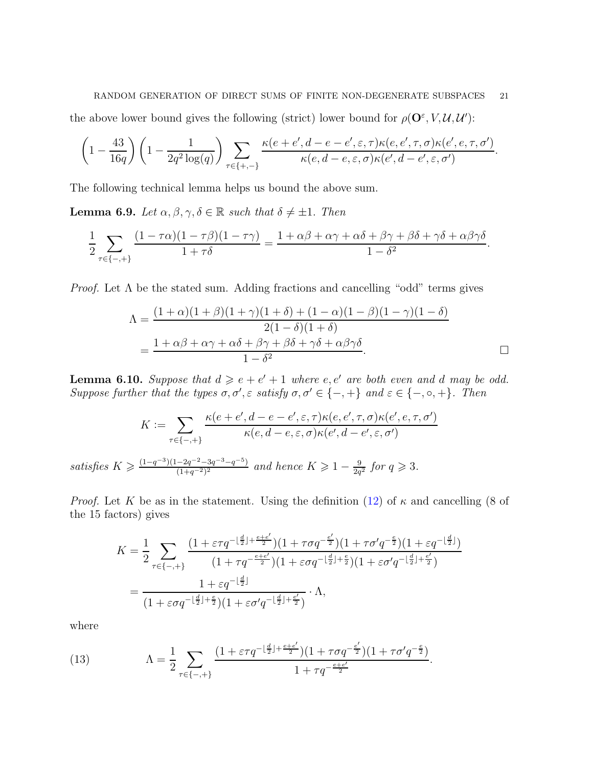#### RANDOM GENERATION OF DIRECT SUMS OF FINITE NON-DEGENERATE SUBSPACES 21

the above lower bound gives the following (strict) lower bound for  $\rho(\mathbf{O}^{\varepsilon}, V, \mathcal{U}, \mathcal{U}')$ :

$$
\left(1-\frac{43}{16q}\right)\left(1-\frac{1}{2q^2\log(q)}\right)\sum_{\tau\in\{+,-\}}\frac{\kappa(e+e',d-e-e',\varepsilon,\tau)\kappa(e,e',\tau,\sigma)\kappa(e',e,\tau,\sigma')}{\kappa(e,d-e,\varepsilon,\sigma)\kappa(e',d-e',\varepsilon,\sigma')}.
$$

The following technical lemma helps us bound the above sum.

<span id="page-20-0"></span>**Lemma 6.9.** *Let*  $\alpha, \beta, \gamma, \delta \in \mathbb{R}$  *such that*  $\delta \neq \pm 1$ . *Then* 

$$
\frac{1}{2}\sum_{\tau\in\{-,+\}}\frac{(1-\tau\alpha)(1-\tau\beta)(1-\tau\gamma)}{1+\tau\delta}=\frac{1+\alpha\beta+\alpha\gamma+\alpha\delta+\beta\gamma+\beta\delta+\gamma\delta+\alpha\beta\gamma\delta}{1-\delta^2}.
$$

*Proof.* Let  $\Lambda$  be the stated sum. Adding fractions and cancelling "odd" terms gives

$$
\Lambda = \frac{(1+\alpha)(1+\beta)(1+\gamma)(1+\delta) + (1-\alpha)(1-\beta)(1-\gamma)(1-\delta)}{2(1-\delta)(1+\delta)}
$$
  
= 
$$
\frac{1+\alpha\beta+\alpha\gamma+\alpha\delta+\beta\gamma+\beta\delta+\gamma\delta+\alpha\beta\gamma\delta}{1-\delta^2}.
$$

<span id="page-20-2"></span>**Lemma 6.10.** Suppose that  $d \geq e + e' + 1$  where  $e, e'$  are both even and d may be odd. *Suppose further that the types*  $\sigma, \sigma', \varepsilon$  *satisfy*  $\sigma, \sigma' \in \{-, +\}$  *and*  $\varepsilon \in \{-, \circ, +\}$ *. Then* 

$$
K := \sum_{\tau \in \{-,+\}} \frac{\kappa(e+e', d-e-e', \varepsilon, \tau)\kappa(e, e', \tau, \sigma)\kappa(e', e, \tau, \sigma')}{\kappa(e, d-e, \varepsilon, \sigma)\kappa(e', d-e', \varepsilon, \sigma')}
$$

$$
K \ge \frac{(1-q^{-3})(1-2q^{-2}-3q^{-3}-q^{-5})}{(1+q^{-2})^2} \text{ and hence } K \ge 1 - \frac{9}{2q^2} \text{ for } q \ge 3.
$$

*Proof.* Let K be as in the statement. Using the definition [\(12\)](#page-19-1) of  $\kappa$  and cancelling (8 of the 15 factors) gives

$$
\begin{split} K&=\frac{1}{2}\sum_{\tau\in\{-,+\}}\frac{(1+\varepsilon\tau q^{-\lfloor\frac{d}{2}\rfloor+\frac{e+e'}{2}})(1+\tau\sigma q^{-\frac{e'}{2}})(1+\tau\sigma' q^{-\frac{e}{2}})(1+\varepsilon q^{-\lfloor\frac{d}{2}\rfloor})}{(1+\tau q^{-\frac{e+e'}{2}})(1+\varepsilon\sigma q^{-\lfloor\frac{d}{2}\rfloor+\frac{e}{2}})(1+\varepsilon\sigma' q^{-\lfloor\frac{d}{2}\rfloor+\frac{e'}{2}})}\\ &=\frac{1+\varepsilon q^{-\lfloor\frac{d}{2}\rfloor}}{(1+\varepsilon\sigma q^{-\lfloor\frac{d}{2}\rfloor+\frac{e}{2}})(1+\varepsilon\sigma' q^{-\lfloor\frac{d}{2}\rfloor+\frac{e'}{2}})}\cdot\Lambda, \end{split}
$$

.

where

 $satisfies$ 

<span id="page-20-1"></span>(13) 
$$
\Lambda = \frac{1}{2} \sum_{\tau \in \{-,+\}} \frac{(1 + \varepsilon \tau q^{-\lfloor \frac{d}{2} \rfloor + \frac{e+e'}{2}})(1 + \tau \sigma q^{-\frac{e'}{2}})(1 + \tau \sigma' q^{-\frac{e}{2}})}{1 + \tau q^{-\frac{e+e'}{2}}}
$$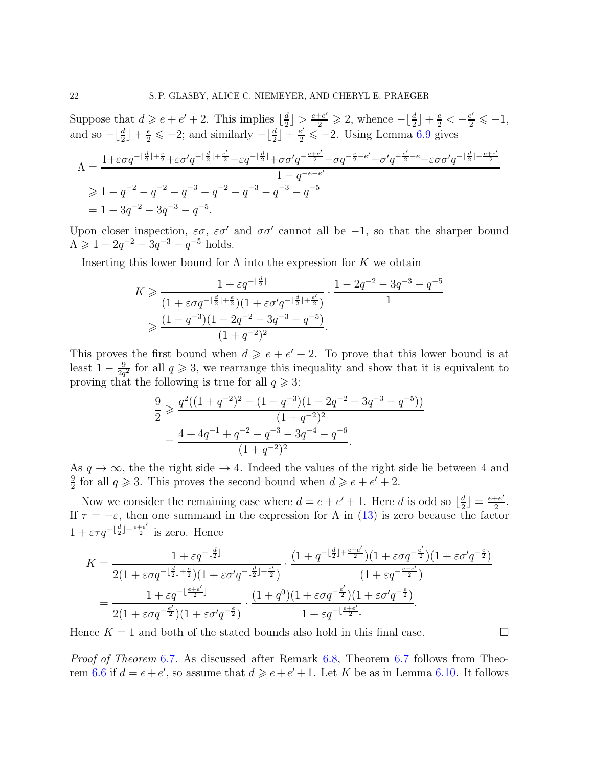Suppose that  $d \geqslant e + e' + 2$ . This implies  $\lfloor \frac{d}{2} \rfloor$  $\frac{d}{2}$  >  $\frac{e+e'}{2} \ge 2$ , whence  $-\lfloor \frac{d}{2} \rfloor + \frac{e}{2} < -\frac{e'}{2} \le -1$ , and so  $-\lfloor \frac{d}{2} \rfloor + \frac{e}{2} \leq -2$ ; and similarly  $-\lfloor \frac{d}{2} \rfloor + \frac{e'}{2} \leq -2$ . Using Lemma [6.9](#page-20-0) gives

$$
\begin{aligned} \Lambda &= \frac{1+\varepsilon\sigma q^{-\lfloor\frac{d}{2}\rfloor+\frac{e}{2}}+\varepsilon\sigma'q^{-\lfloor\frac{d}{2}\rfloor+\frac{e'}{2}}-\varepsilon q^{-\lfloor\frac{d}{2}\rfloor}+\sigma\sigma'q^{-\frac{e+e'}{2}}-\sigma q^{-\frac{e}{2}-e'}-\sigma'q^{-\frac{e'}{2}-e}-\varepsilon\sigma\sigma'q^{-\lfloor\frac{d}{2}\rfloor-\frac{e+e'}{2}}}{1-q^{-e-e'}}\\ &\geqslant 1-q^{-2}-q^{-2}-q^{-3}-q^{-2}-q^{-3}-q^{-3}-q^{-5}\\ &= 1-3q^{-2}-3q^{-3}-q^{-5}. \end{aligned}
$$

Upon closer inspection,  $\varepsilon\sigma$ ,  $\varepsilon\sigma'$  and  $\sigma\sigma'$  cannot all be -1, so that the sharper bound  $\Lambda \geqslant 1 - 2q^{-2} - 3q^{-3} - q^{-5}$  holds.

Inserting this lower bound for  $\Lambda$  into the expression for  $K$  we obtain

$$
K \geq \frac{1 + \varepsilon q^{-\lfloor \frac{d}{2} \rfloor}}{(1 + \varepsilon \sigma q^{-\lfloor \frac{d}{2} \rfloor + \frac{\varepsilon}{2}})(1 + \varepsilon \sigma' q^{-\lfloor \frac{d}{2} \rfloor + \frac{\varepsilon'}{2}})} \cdot \frac{1 - 2q^{-2} - 3q^{-3} - q^{-5}}{1}
$$
  

$$
\geq \frac{(1 - q^{-3})(1 - 2q^{-2} - 3q^{-3} - q^{-5})}{(1 + q^{-2})^2}.
$$

This proves the first bound when  $d \geqslant e + e' + 2$ . To prove that this lower bound is at least  $1-\frac{9}{2a}$  $\frac{9}{2q^2}$  for all  $q \geq 3$ , we rearrange this inequality and show that it is equivalent to proving that the following is true for all  $q \geq 3$ :

$$
\frac{9}{2} \geqslant \frac{q^2((1+q^{-2})^2 - (1-q^{-3})(1-2q^{-2}-3q^{-3}-q^{-5}))}{(1+q^{-2})^2}
$$

$$
= \frac{4+4q^{-1}+q^{-2}-q^{-3}-3q^{-4}-q^{-6}}{(1+q^{-2})^2}.
$$

As  $q \to \infty$ , the the right side  $\to 4$ . Indeed the values of the right side lie between 4 and 9  $\frac{9}{2}$  for all  $q \ge 3$ . This proves the second bound when  $d \ge e + e' + 2$ .

Now we consider the remaining case where  $d = e + e' + 1$ . Here d is odd so  $\lfloor \frac{d}{2} \rfloor$  $\frac{d}{2}$  =  $\frac{e+e'}{2}$  $\frac{+e'}{2}$ . If  $\tau = -\varepsilon$ , then one summand in the expression for  $\Lambda$  in [\(13\)](#page-20-1) is zero because the factor  $1 + \varepsilon \tau q^{-\lfloor \frac{d}{2} \rfloor + \frac{e+e'}{2}}$  is zero. Hence

$$
K = \frac{1 + \varepsilon q^{-\lfloor \frac{d}{2} \rfloor}}{2(1 + \varepsilon \sigma q^{-\lfloor \frac{d}{2} \rfloor + \frac{\varepsilon}{2}})(1 + \varepsilon \sigma' q^{-\lfloor \frac{d}{2} \rfloor + \frac{\varepsilon'}{2}})} \cdot \frac{(1 + q^{-\lfloor \frac{d}{2} \rfloor + \frac{\varepsilon + e'}{2}})(1 + \varepsilon \sigma q^{-\frac{e'}{2}})(1 + \varepsilon \sigma' q^{-\frac{\varepsilon}{2}})}{(1 + \varepsilon q^{-\frac{\varepsilon + e'}{2}})}
$$
  
= 
$$
\frac{1 + \varepsilon q^{-\lfloor \frac{\varepsilon + e'}{2} \rfloor}}{2(1 + \varepsilon \sigma q^{-\frac{e'}{2}})(1 + \varepsilon \sigma' q^{-\frac{e}{2}})} \cdot \frac{(1 + q^0)(1 + \varepsilon \sigma q^{-\frac{e'}{2}})(1 + \varepsilon \sigma' q^{-\frac{e}{2}})}{1 + \varepsilon q^{-\lfloor \frac{e + e'}{2} \rfloor}}.
$$

Hence  $K = 1$  and both of the stated bounds also hold in this final case.

*Proof of Theorem* [6](#page-18-1).7*.* As discussed after Remark [6.8,](#page-18-3) Theorem [6](#page-18-1).7 follows from Theo-rem [6.6](#page-18-0) if  $d = e + e'$ , so assume that  $d \geq e + e' + 1$ . Let K be as in Lemma [6.10.](#page-20-2) It follows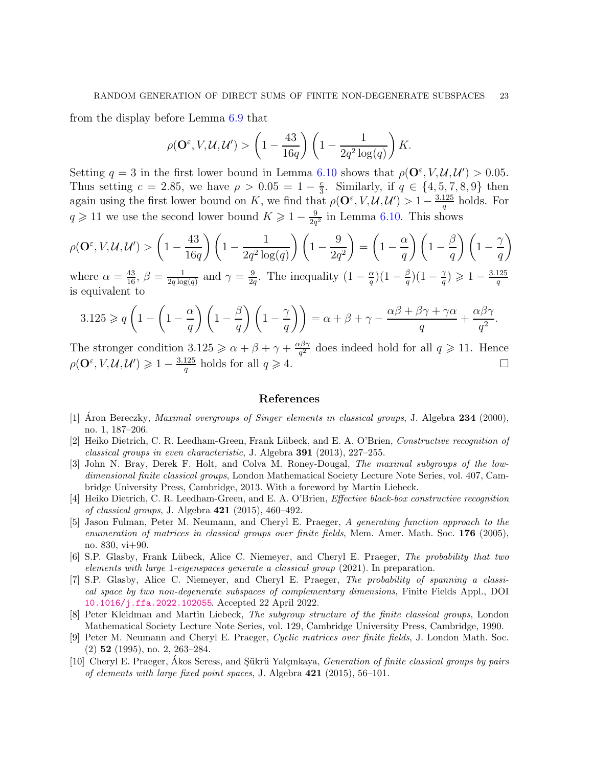from the display before Lemma [6.9](#page-20-0) that

$$
\rho(\mathbf{O}^{\varepsilon}, V, \mathcal{U}, \mathcal{U}') > \left(1 - \frac{43}{16q}\right) \left(1 - \frac{1}{2q^2 \log(q)}\right) K.
$$

Setting  $q = 3$  in the first lower bound in Lemma [6.10](#page-20-2) shows that  $\rho(\mathbf{O}^{\varepsilon}, V, \mathcal{U}, \mathcal{U}') > 0.05$ . Thus setting  $c = 2.85$ , we have  $\rho > 0.05 = 1 - \frac{c}{3}$  $\frac{c}{3}$ . Similarly, if  $q \in \{4, 5, 7, 8, 9\}$  then again using the first lower bound on K, we find that  $\rho(\mathbf{O}^{\varepsilon}, V, \mathcal{U}, \mathcal{U}') > 1 - \frac{3.125}{a}$  $\frac{125}{q}$  holds. For  $q \geq 11$  we use the second lower bound  $K \geq 1 - \frac{9}{2q}$  $\frac{9}{2q^2}$  in Lemma [6.10.](#page-20-2) This shows

$$
\rho(\mathbf{O}^{\varepsilon}, V, \mathcal{U}, \mathcal{U}') > \left(1 - \frac{43}{16q}\right) \left(1 - \frac{1}{2q^2 \log(q)}\right) \left(1 - \frac{9}{2q^2}\right) = \left(1 - \frac{\alpha}{q}\right) \left(1 - \frac{\beta}{q}\right) \left(1 - \frac{\gamma}{q}\right)
$$

where  $\alpha = \frac{43}{16}$ ,  $\beta = \frac{1}{2q \log q}$  $\frac{1}{2q \log(q)}$  and  $\gamma = \frac{9}{2q}$  $\frac{9}{2q}$ . The inequality  $(1 - \frac{\alpha}{q})$  $\frac{\alpha}{q} (1 - \frac{\beta}{q}$  $\frac{\beta}{q}$ ) $(1-\frac{\gamma}{q}$  $\left(\frac{\gamma}{q}\right) \geqslant 1 - \frac{3.125}{q}$ q is equivalent to

$$
3.125 \geqslant q \left(1 - \left(1 - \frac{\alpha}{q}\right) \left(1 - \frac{\beta}{q}\right) \left(1 - \frac{\gamma}{q}\right)\right) = \alpha + \beta + \gamma - \frac{\alpha\beta + \beta\gamma + \gamma\alpha}{q} + \frac{\alpha\beta\gamma}{q^2}.
$$

The stronger condition  $3.125 \ge \alpha + \beta + \gamma + \frac{\alpha\beta\gamma}{\sigma^2}$  $\frac{\partial^2 y}{\partial q^2}$  does indeed hold for all  $q \geqslant 11$ . Hence  $\rho(\mathbf{O}^{\varepsilon}, V, \mathcal{U}, \mathcal{U}') \geq 1 - \frac{3.125}{a}$  $\frac{125}{q}$  holds for all  $q \ge 4$ .

# References

- <span id="page-22-6"></span>[1] Aron Bereczky, *Maximal overgroups of Singer elements in classical groups*, J. Algebra  $234$  (2000), no. 1, 187–206.
- <span id="page-22-2"></span>[2] Heiko Dietrich, C. R. Leedham-Green, Frank Lübeck, and E. A. O'Brien, Constructive recognition of classical groups in even characteristic, J. Algebra 391 (2013), 227–255.
- [3] John N. Bray, Derek F. Holt, and Colva M. Roney-Dougal, The maximal subgroups of the lowdimensional finite classical groups, London Mathematical Society Lecture Note Series, vol. 407, Cambridge University Press, Cambridge, 2013. With a foreword by Martin Liebeck.
- [4] Heiko Dietrich, C. R. Leedham-Green, and E. A. O'Brien, Effective black-box constructive recognition of classical groups, J. Algebra 421 (2015), 460–492.
- <span id="page-22-5"></span>[5] Jason Fulman, Peter M. Neumann, and Cheryl E. Praeger, A generating function approach to the enumeration of matrices in classical groups over finite fields, Mem. Amer. Math. Soc. 176 (2005), no. 830, vi+90.
- <span id="page-22-1"></span>[6] S.P. Glasby, Frank Lübeck, Alice C. Niemeyer, and Cheryl E. Praeger, The probability that two elements with large 1-eigenspaces generate a classical group (2021). In preparation.
- <span id="page-22-0"></span>[7] S.P. Glasby, Alice C. Niemeyer, and Cheryl E. Praeger, The probability of spanning a classical space by two non-degenerate subspaces of complementary dimensions, Finite Fields Appl., DOI <10.1016/j.ffa.2022.102055>. Accepted 22 April 2022.
- <span id="page-22-4"></span>[8] Peter Kleidman and Martin Liebeck, The subgroup structure of the finite classical groups, London Mathematical Society Lecture Note Series, vol. 129, Cambridge University Press, Cambridge, 1990.
- <span id="page-22-7"></span>[9] Peter M. Neumann and Cheryl E. Praeger, Cyclic matrices over finite fields, J. London Math. Soc. (2) 52 (1995), no. 2, 263–284.
- <span id="page-22-3"></span>[10] Cheryl E. Praeger, Akos Seress, and Sükrü Yalçınkaya, *Generation of finite classical groups by pairs* of elements with large fixed point spaces, J. Algebra 421 (2015), 56–101.